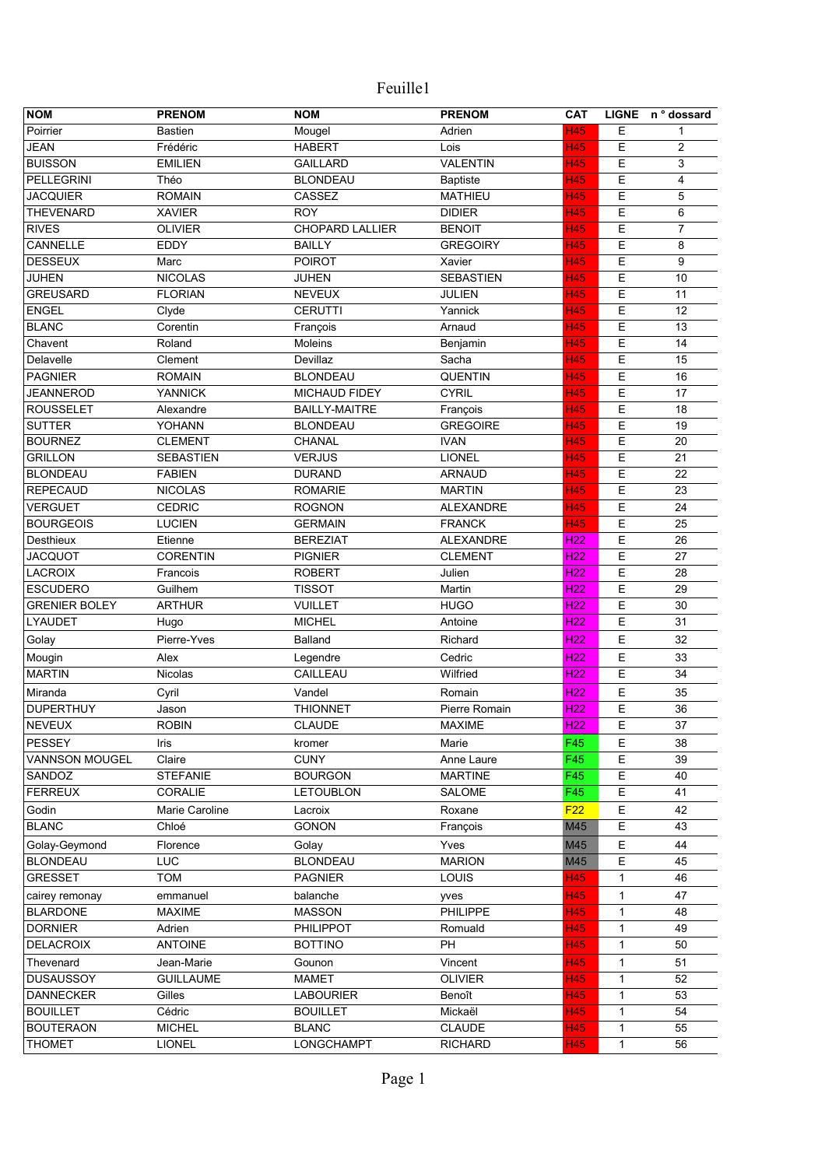| <b>NOM</b>            | <b>PRENOM</b>    | <b>NOM</b>             | <b>PRENOM</b>    | CAT             |              | LIGNE n° dossard |
|-----------------------|------------------|------------------------|------------------|-----------------|--------------|------------------|
| Poirrier              | <b>Bastien</b>   | Mougel                 | Adrien           | <b>H45</b>      | Е            | 1                |
| <b>JEAN</b>           | Frédéric         | <b>HABERT</b>          | Lois             | <b>H45</b>      | Ε            | 2                |
| <b>BUISSON</b>        | <b>EMILIEN</b>   | <b>GAILLARD</b>        | <b>VALENTIN</b>  | <b>H45</b>      | Е            | 3                |
| PELLEGRINI            | Théo             | <b>BLONDEAU</b>        | Baptiste         | <b>H45</b>      | Ε            | 4                |
| <b>JACQUIER</b>       | <b>ROMAIN</b>    | CASSEZ                 | <b>MATHIEU</b>   | H45             | Ε            | 5                |
| <b>THEVENARD</b>      | <b>XAVIER</b>    | <b>ROY</b>             | <b>DIDIER</b>    | <b>H45</b>      | Ε            | 6                |
| <b>RIVES</b>          | <b>OLIVIER</b>   | <b>CHOPARD LALLIER</b> | <b>BENOIT</b>    | <b>H45</b>      | Ε            | 7                |
| CANNELLE              | EDDY             | <b>BAILLY</b>          | <b>GREGOIRY</b>  | H45             | Е            | 8                |
| <b>DESSEUX</b>        | Marc             | <b>POIROT</b>          | Xavier           | <b>H45</b>      | E            | 9                |
| <b>JUHEN</b>          | <b>NICOLAS</b>   | JUHEN                  | <b>SEBASTIEN</b> | <b>H45</b>      | E            | 10               |
| <b>GREUSARD</b>       | <b>FLORIAN</b>   | <b>NEVEUX</b>          | <b>JULIEN</b>    | <b>H45</b>      | E            | 11               |
| <b>ENGEL</b>          | Clyde            | <b>CERUTTI</b>         | Yannick          | <b>H45</b>      | E            | 12               |
| <b>BLANC</b>          | Corentin         | François               | Arnaud           | <b>H45</b>      | E            | 13               |
| Chavent               | Roland           | Moleins                | Benjamin         | H45             | E            | 14               |
| Delavelle             | Clement          | Devillaz               | Sacha            | <b>H45</b>      | E            | 15               |
| <b>PAGNIER</b>        | <b>ROMAIN</b>    | <b>BLONDEAU</b>        | <b>QUENTIN</b>   | H45             | E            | 16               |
| <b>JEANNEROD</b>      | <b>YANNICK</b>   | MICHAUD FIDEY          | <b>CYRIL</b>     | H45             | E            | 17               |
| <b>ROUSSELET</b>      | Alexandre        | <b>BAILLY-MAITRE</b>   | François         | <b>H45</b>      | E            | 18               |
| <b>SUTTER</b>         | YOHANN           | <b>BLONDEAU</b>        | <b>GREGOIRE</b>  | <b>H45</b>      | E            | 19               |
| <b>BOURNEZ</b>        | <b>CLEMENT</b>   | CHANAL                 | <b>IVAN</b>      | <b>H45</b>      | Ε            | 20               |
| <b>GRILLON</b>        | <b>SEBASTIEN</b> | <b>VERJUS</b>          | <b>LIONEL</b>    | <b>H45</b>      | E            | 21               |
| <b>BLONDEAU</b>       | <b>FABIEN</b>    | <b>DURAND</b>          | <b>ARNAUD</b>    | <b>H45</b>      | E            | 22               |
| <b>REPECAUD</b>       | <b>NICOLAS</b>   | <b>ROMARIE</b>         | <b>MARTIN</b>    | <b>H45</b>      | E            | 23               |
| <b>VERGUET</b>        | <b>CEDRIC</b>    | <b>ROGNON</b>          | <b>ALEXANDRE</b> | <b>H45</b>      | E            | 24               |
| <b>BOURGEOIS</b>      | <b>LUCIEN</b>    | <b>GERMAIN</b>         | <b>FRANCK</b>    | <b>H45</b>      | E            | 25               |
| Desthieux             | Etienne          | <b>BEREZIAT</b>        | <b>ALEXANDRE</b> | H <sub>22</sub> | E            | 26               |
| <b>JACQUOT</b>        | <b>CORENTIN</b>  | <b>PIGNIER</b>         | <b>CLEMENT</b>   | <b>H22</b>      | E            | 27               |
| <b>LACROIX</b>        | Francois         | <b>ROBERT</b>          | Julien           | <b>H22</b>      | E            | 28               |
| <b>ESCUDERO</b>       | Guilhem          | <b>TISSOT</b>          | Martin           | H <sub>22</sub> | Е            | 29               |
| <b>GRENIER BOLEY</b>  | <b>ARTHUR</b>    | <b>VUILLET</b>         | <b>HUGO</b>      | H <sub>22</sub> | Е            | 30               |
| LYAUDET               | Hugo             | <b>MICHEL</b>          | Antoine          | H <sub>22</sub> | Е            | 31               |
| Golay                 | Pierre-Yves      | Balland                | Richard          | H <sub>22</sub> | E            | 32               |
| Mougin                | Alex             | Legendre               | Cedric           | H <sub>22</sub> | Ε            | 33               |
| <b>MARTIN</b>         | Nicolas          | CAILLEAU               | Wilfried         | <b>H22</b>      | E            | 34               |
| Miranda               | Cyril            | Vandel                 | Romain           | H <sub>22</sub> | E            | 35               |
| <b>DUPERTHUY</b>      | Jason            | <b>THIONNET</b>        | Pierre Romain    | H <sub>22</sub> | Ε            | 36               |
| NEVEUX                | <b>ROBIN</b>     | CLAUDE                 | <b>MAXIME</b>    | H <sub>22</sub> | E            | $\overline{37}$  |
| <b>PESSEY</b>         | Iris             | kromer                 | Marie            | F45             | Е            | 38               |
| <b>VANNSON MOUGEL</b> | Claire           | <b>CUNY</b>            | Anne Laure       | F45             | E            | 39               |
| SANDOZ                | <b>STEFANIE</b>  | <b>BOURGON</b>         | <b>MARTINE</b>   | F45             | Ε            | 40               |
| <b>FERREUX</b>        | CORALIE          | <b>LETOUBLON</b>       | <b>SALOME</b>    | F45             | Ε            | 41               |
| Godin                 | Marie Caroline   | Lacroix                | Roxane           | F22             | Е            | 42               |
| <b>BLANC</b>          | Chloé            | <b>GONON</b>           | François         | M45             | Ε            | 43               |
| Golay-Geymond         | Florence         | Golay                  | Yves             | M45             | Ε            | 44               |
| <b>BLONDEAU</b>       | <b>LUC</b>       | <b>BLONDEAU</b>        | <b>MARION</b>    | M45             | Ε            | 45               |
| <b>GRESSET</b>        | <b>TOM</b>       | <b>PAGNIER</b>         | LOUIS            | <b>H45</b>      | $\mathbf{1}$ | 46               |
| cairey remonay        | emmanuel         | balanche               | yves             | <b>H45</b>      | 1            | 47               |
| <b>BLARDONE</b>       | <b>MAXIME</b>    | <b>MASSON</b>          | PHILIPPE         | <b>H45</b>      | 1            | 48               |
| <b>DORNIER</b>        | Adrien           | <b>PHILIPPOT</b>       | Romuald          | <b>H45</b>      | 1            | 49               |
| <b>DELACROIX</b>      | <b>ANTOINE</b>   | <b>BOTTINO</b>         | PH               | <b>H45</b>      | 1            | 50               |
| Thevenard             | Jean-Marie       | Gounon                 | Vincent          | <b>H45</b>      | 1            | 51               |
| <b>DUSAUSSOY</b>      | <b>GUILLAUME</b> | <b>MAMET</b>           | <b>OLIVIER</b>   | <b>H45</b>      | $\mathbf{1}$ | 52               |
| <b>DANNECKER</b>      | Gilles           | <b>LABOURIER</b>       | Benoît           | H45             | 1            | 53               |
| <b>BOUILLET</b>       | Cédric           | <b>BOUILLET</b>        | Mickaël          | <b>H45</b>      | 1            | 54               |
| <b>BOUTERAON</b>      | <b>MICHEL</b>    | <b>BLANC</b>           | <b>CLAUDE</b>    | <b>H45</b>      | $\mathbf{1}$ | 55               |
| <b>THOMET</b>         | <b>LIONEL</b>    | LONGCHAMPT             | <b>RICHARD</b>   | <b>H45</b>      | $\mathbf{1}$ | 56               |
|                       |                  |                        |                  |                 |              |                  |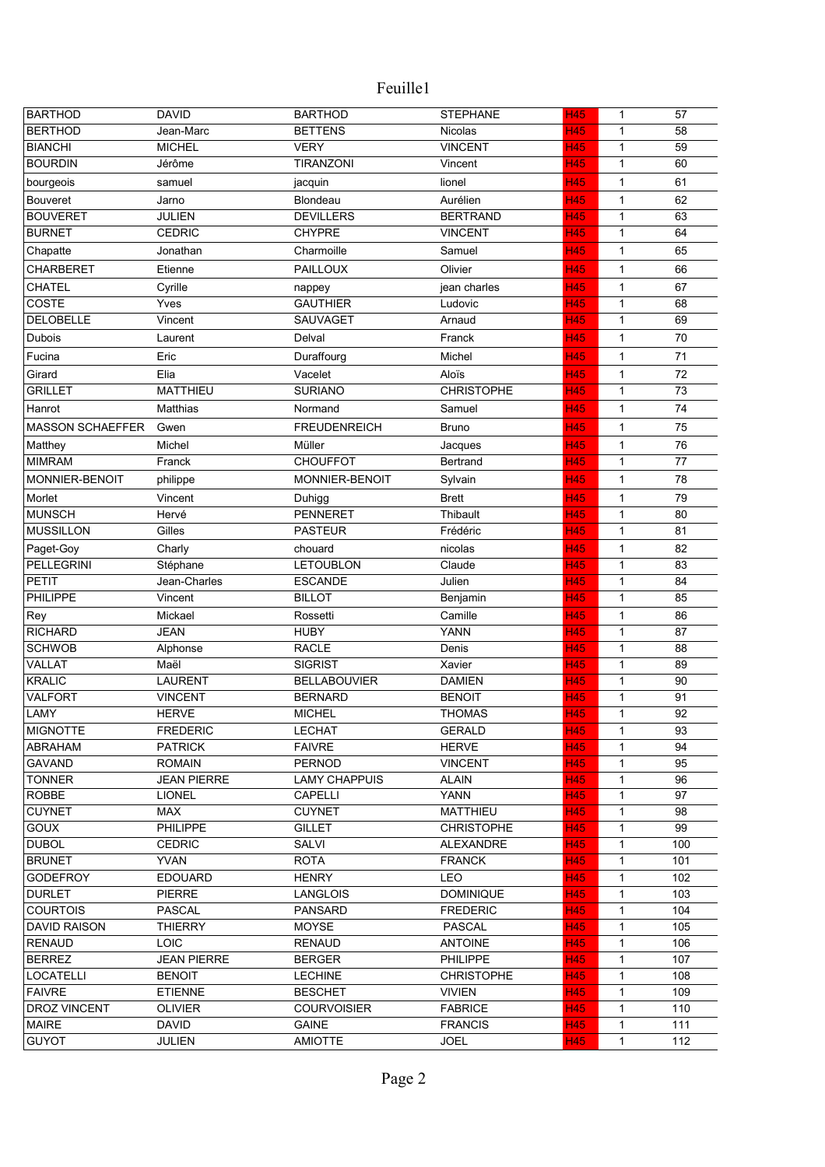| <b>BARTHOD</b>          | <b>DAVID</b>                  | <b>BARTHOD</b>                 | <b>STEPHANE</b>               | <b>H45</b>        | $\mathbf{1}$                 | 57         |
|-------------------------|-------------------------------|--------------------------------|-------------------------------|-------------------|------------------------------|------------|
| <b>BERTHOD</b>          | Jean-Marc                     | <b>BETTENS</b>                 | Nicolas                       | <b>H45</b>        | $\mathbf{1}$                 | 58         |
| <b>BIANCHI</b>          | <b>MICHEL</b>                 | <b>VERY</b>                    | <b>VINCENT</b>                | <b>H45</b>        | $\mathbf{1}$                 | 59         |
| <b>BOURDIN</b>          | Jérôme                        | <b>TIRANZONI</b>               | Vincent                       | <b>H45</b>        | $\mathbf{1}$                 | 60         |
| bourgeois               | samuel                        | jacquin                        | lionel                        | <b>H45</b>        | 1                            | 61         |
| <b>Bouveret</b>         | Jarno                         | Blondeau                       | Aurélien                      | <b>H45</b>        | $\mathbf{1}$                 | 62         |
| <b>BOUVERET</b>         | JULIEN                        | <b>DEVILLERS</b>               | <b>BERTRAND</b>               | H45               | $\mathbf{1}$                 | 63         |
| <b>BURNET</b>           | <b>CEDRIC</b>                 | <b>CHYPRE</b>                  | <b>VINCENT</b>                | <b>H45</b>        | $\mathbf{1}$                 | 64         |
| Chapatte                | Jonathan                      | Charmoille                     | Samuel                        | <b>H45</b>        | $\mathbf{1}$                 | 65         |
| <b>CHARBERET</b>        | Etienne                       | PAILLOUX                       | Olivier                       | H45               | 1                            | 66         |
| <b>CHATEL</b>           | Cyrille                       | nappey                         | jean charles                  | H45               | $\mathbf{1}$                 | 67         |
| COSTE                   | Yves                          | <b>GAUTHIER</b>                | Ludovic                       | <b>H45</b>        | $\mathbf{1}$                 | 68         |
| <b>DELOBELLE</b>        | Vincent                       | SAUVAGET                       | Arnaud                        | H45               | $\mathbf{1}$                 | 69         |
| Dubois                  | Laurent                       | Delval                         | Franck                        | <b>H45</b>        | $\mathbf{1}$                 | 70         |
| Fucina                  | Eric                          | Duraffourg                     | Michel                        | <b>H45</b>        | 1                            | 71         |
| Girard                  | Elia                          | Vacelet                        | Aloïs                         | <b>H45</b>        | $\mathbf{1}$                 | 72         |
| <b>GRILLET</b>          | <b>MATTHIEU</b>               | <b>SURIANO</b>                 | <b>CHRISTOPHE</b>             | <b>H45</b>        | $\mathbf{1}$                 | 73         |
| Hanrot                  | <b>Matthias</b>               | Normand                        | Samuel                        | <b>H45</b>        | $\mathbf{1}$                 | 74         |
| <b>MASSON SCHAEFFER</b> | Gwen                          | <b>FREUDENREICH</b>            | <b>Bruno</b>                  | H45               | 1                            | 75         |
| Matthey                 | Michel                        | Müller                         | Jacques                       | H45               | $\mathbf{1}$                 | 76         |
| <b>MIMRAM</b>           | Franck                        | <b>CHOUFFOT</b>                | Bertrand                      | <b>H45</b>        | $\mathbf{1}$                 | 77         |
| <b>MONNIER-BENOIT</b>   | philippe                      | <b>MONNIER-BENOIT</b>          | Sylvain                       | <b>H45</b>        | $\mathbf{1}$                 | 78         |
| Morlet                  | Vincent                       | Duhigg                         | <b>Brett</b>                  | <b>H45</b>        | 1                            | 79         |
| <b>MUNSCH</b>           | Hervé                         | <b>PENNERET</b>                | Thibault                      | <b>H45</b>        | $\mathbf{1}$                 | 80         |
| <b>MUSSILLON</b>        | Gilles                        | <b>PASTEUR</b>                 | Frédéric                      | <b>H45</b>        | $\mathbf{1}$                 | 81         |
| Paget-Goy               | Charly                        | chouard                        | nicolas                       | <b>H45</b>        | $\mathbf{1}$                 | 82         |
| <b>PELLEGRINI</b>       | Stéphane                      | <b>LETOUBLON</b>               | Claude                        | <b>H45</b>        | $\mathbf{1}$                 | 83         |
| <b>PETIT</b>            | Jean-Charles                  | <b>ESCANDE</b>                 | Julien                        | <b>H45</b>        | $\mathbf{1}$                 | 84         |
| PHILIPPE                | Vincent                       | <b>BILLOT</b>                  | Benjamin                      | <b>H45</b>        | $\mathbf{1}$                 | 85         |
| Rey                     | Mickael                       | Rossetti                       | Camille                       | <b>H45</b>        | $\mathbf{1}$                 | 86         |
| <b>RICHARD</b>          | <b>JEAN</b>                   | <b>HUBY</b>                    | <b>YANN</b>                   | <b>H45</b>        | $\mathbf{1}$                 | 87         |
| <b>SCHWOB</b>           | Alphonse                      | <b>RACLE</b>                   | Denis                         | H45               | $\mathbf{1}$                 | 88         |
| VALLAT                  | Maël                          | <b>SIGRIST</b>                 | Xavier                        | H45               | $\mathbf{1}$                 | 89         |
| <b>KRALIC</b>           | <b>LAURENT</b>                | <b>BELLABOUVIER</b>            | <b>DAMIEN</b>                 | <b>H45</b>        | $\mathbf{1}$                 | 90         |
| <b>VALFORT</b>          | <b>VINCENT</b>                | <b>BERNARD</b>                 | <b>BENOIT</b>                 | <b>H45</b>        | $\mathbf{1}$                 | 91         |
| LAMY                    | <b>HERVE</b>                  | <b>MICHEL</b>                  | <b>THOMAS</b>                 | <b>H45</b>        | $\mathbf{1}$                 | 92         |
| <b>MIGNOTTE</b>         | <b>FREDERIC</b>               | LECHAT                         | <b>GERALD</b>                 | H45               | 1                            | 93         |
| ABRAHAM                 | <b>PATRICK</b>                | <b>FAIVRE</b>                  | <b>HERVE</b>                  | <b>H45</b>        | $\mathbf{1}$                 | 94         |
| <b>GAVAND</b>           | <b>ROMAIN</b>                 | <b>PERNOD</b>                  | <b>VINCENT</b>                | <b>H45</b>        | 1                            | 95         |
| <b>TONNER</b>           | <b>JEAN PIERRE</b>            | <b>LAMY CHAPPUIS</b>           | ALAIN                         | <b>H45</b>        | 1                            | 96         |
| <b>ROBBE</b>            | <b>LIONEL</b>                 | <b>CAPELLI</b>                 | <b>YANN</b>                   | <b>H45</b>        | $\mathbf{1}$                 | 97         |
| <b>CUYNET</b>           | MAX                           | <b>CUYNET</b>                  | <b>MATTHIEU</b>               | <b>H45</b>        | 1                            | 98         |
| <b>GOUX</b>             | <b>PHILIPPE</b>               | <b>GILLET</b>                  | <b>CHRISTOPHE</b>             | <b>H45</b>        | 1                            | 99         |
| <b>DUBOL</b>            | <b>CEDRIC</b>                 | SALVI                          | <b>ALEXANDRE</b>              | H45               | 1                            | 100        |
| <b>BRUNET</b>           | <b>YVAN</b>                   | <b>ROTA</b>                    | <b>FRANCK</b>                 | <b>H45</b>        | 1                            | 101        |
| <b>GODEFROY</b>         | <b>EDOUARD</b>                | <b>HENRY</b>                   | LEO                           | <b>H45</b>        | 1                            | 102        |
| <b>DURLET</b>           | <b>PIERRE</b>                 | LANGLOIS                       | <b>DOMINIQUE</b>              | <b>H45</b>        | 1                            | 103        |
| <b>COURTOIS</b>         | <b>PASCAL</b>                 | PANSARD                        | <b>FREDERIC</b>               | <b>H45</b>        | 1                            | 104        |
| DAVID RAISON            | <b>THIERRY</b>                | <b>MOYSE</b>                   | <b>PASCAL</b>                 | <b>H45</b>        | $\mathbf{1}$                 | 105        |
| <b>RENAUD</b>           | <b>LOIC</b>                   | <b>RENAUD</b>                  | <b>ANTOINE</b>                | <b>H45</b>        | 1                            | 106        |
| <b>BERREZ</b>           | <b>JEAN PIERRE</b>            | <b>BERGER</b>                  | <b>PHILIPPE</b>               | <b>H45</b>        | $\mathbf{1}$                 | 107        |
| <b>LOCATELLI</b>        | <b>BENOIT</b>                 | <b>LECHINE</b>                 | <b>CHRISTOPHE</b>             | <b>H45</b>        | $\mathbf{1}$                 | 108        |
| <b>FAIVRE</b>           | <b>ETIENNE</b>                | <b>BESCHET</b>                 | <b>VIVIEN</b>                 | H45               | $\mathbf{1}$                 | 109        |
| <b>DROZ VINCENT</b>     | <b>OLIVIER</b>                | <b>COURVOISIER</b>             | <b>FABRICE</b>                | <b>H45</b>        | $\mathbf{1}$                 | 110        |
| MAIRE<br><b>GUYOT</b>   | <b>DAVID</b><br><b>JULIEN</b> | <b>GAINE</b><br><b>AMIOTTE</b> | <b>FRANCIS</b><br><b>JOEL</b> | H45<br><b>H45</b> | $\mathbf{1}$<br>$\mathbf{1}$ | 111<br>112 |
|                         |                               |                                |                               |                   |                              |            |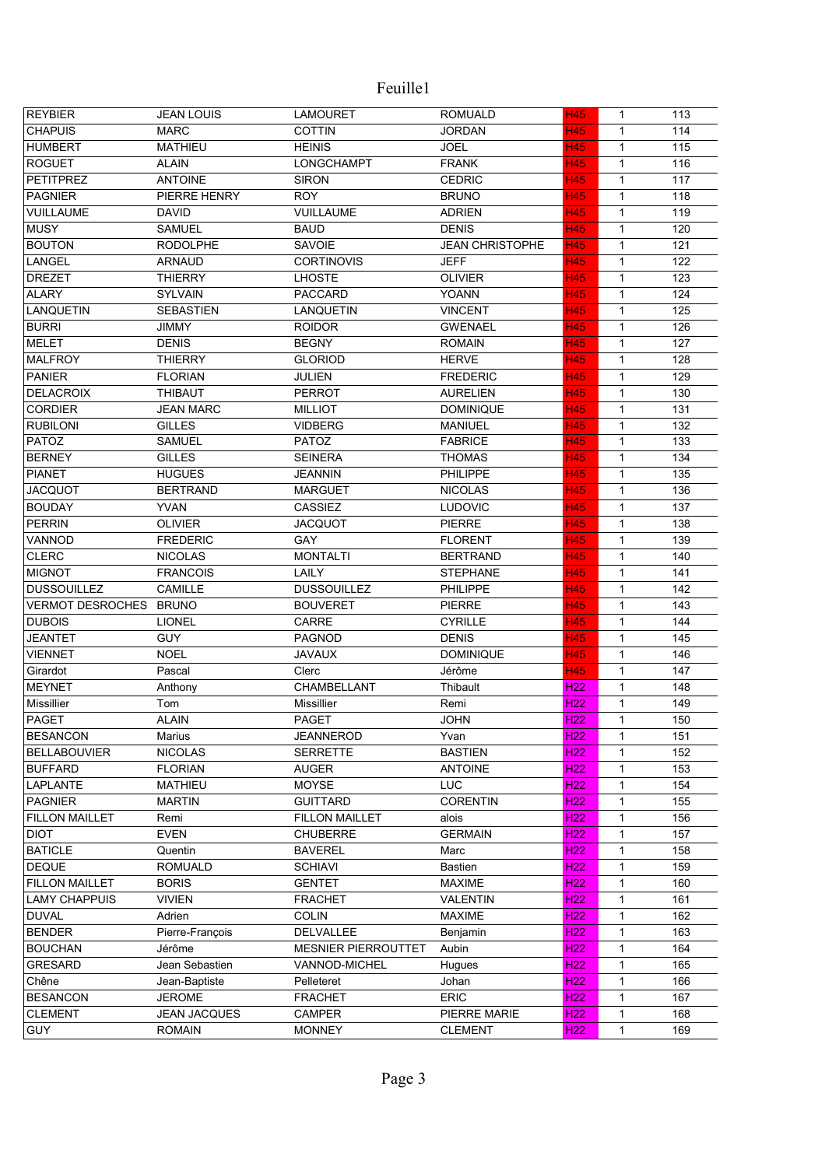| <b>REYBIER</b>          | <b>JEAN LOUIS</b>   | <b>LAMOURET</b>            | <b>ROMUALD</b>         | <b>H45</b>      | $\mathbf{1}$ | 113 |
|-------------------------|---------------------|----------------------------|------------------------|-----------------|--------------|-----|
| <b>CHAPUIS</b>          | <b>MARC</b>         | <b>COTTIN</b>              | <b>JORDAN</b>          | <b>H45</b>      | $\mathbf{1}$ | 114 |
| <b>HUMBERT</b>          | <b>MATHIEU</b>      | <b>HEINIS</b>              | <b>JOEL</b>            | <b>H45</b>      | $\mathbf{1}$ | 115 |
| <b>ROGUET</b>           | <b>ALAIN</b>        | LONGCHAMPT                 | <b>FRANK</b>           | <b>H45</b>      | $\mathbf{1}$ | 116 |
| <b>PETITPREZ</b>        | <b>ANTOINE</b>      | <b>SIRON</b>               | <b>CEDRIC</b>          | H45             | $\mathbf{1}$ | 117 |
| <b>PAGNIER</b>          | PIERRE HENRY        | <b>ROY</b>                 | <b>BRUNO</b>           | <b>H45</b>      | $\mathbf{1}$ | 118 |
| <b>VUILLAUME</b>        | <b>DAVID</b>        | <b>VUILLAUME</b>           | <b>ADRIEN</b>          | <b>H45</b>      | 1            | 119 |
| <b>MUSY</b>             | <b>SAMUEL</b>       | <b>BAUD</b>                | <b>DENIS</b>           | <b>H45</b>      | 1            | 120 |
| <b>BOUTON</b>           | <b>RODOLPHE</b>     | SAVOIE                     | <b>JEAN CHRISTOPHE</b> | H45             | 1            | 121 |
| LANGEL                  | <b>ARNAUD</b>       | <b>CORTINOVIS</b>          | <b>JEFF</b>            | H45             | $\mathbf{1}$ | 122 |
| <b>DREZET</b>           | <b>THIERRY</b>      | <b>LHOSTE</b>              | <b>OLIVIER</b>         | <b>H45</b>      | 1            | 123 |
| <b>ALARY</b>            | <b>SYLVAIN</b>      | <b>PACCARD</b>             | <b>YOANN</b>           | <b>H45</b>      | 1            | 124 |
| <b>LANQUETIN</b>        | <b>SEBASTIEN</b>    | <b>LANQUETIN</b>           | <b>VINCENT</b>         | <b>H45</b>      | 1            | 125 |
| <b>BURRI</b>            | <b>JIMMY</b>        | <b>ROIDOR</b>              | <b>GWENAEL</b>         | <b>H45</b>      | $\mathbf{1}$ | 126 |
| <b>MELET</b>            | <b>DENIS</b>        | <b>BEGNY</b>               | <b>ROMAIN</b>          | <b>H45</b>      | $\mathbf{1}$ | 127 |
| <b>MALFROY</b>          | <b>THIERRY</b>      | <b>GLORIOD</b>             | <b>HERVE</b>           | <b>H45</b>      | $\mathbf{1}$ | 128 |
| <b>PANIER</b>           | <b>FLORIAN</b>      | JULIEN                     | <b>FREDERIC</b>        | <b>H45</b>      | $\mathbf{1}$ | 129 |
| <b>DELACROIX</b>        | <b>THIBAUT</b>      | <b>PERROT</b>              | <b>AURELIEN</b>        | <b>H45</b>      | $\mathbf{1}$ | 130 |
| <b>CORDIER</b>          | <b>JEAN MARC</b>    | <b>MILLIOT</b>             | <b>DOMINIQUE</b>       | <b>H45</b>      | $\mathbf{1}$ | 131 |
| <b>RUBILONI</b>         | <b>GILLES</b>       | <b>VIDBERG</b>             | <b>MANIUEL</b>         | <b>H45</b>      | $\mathbf{1}$ | 132 |
| PATOZ                   | <b>SAMUEL</b>       | PATOZ                      | <b>FABRICE</b>         | H45             | 1            | 133 |
| <b>BERNEY</b>           | <b>GILLES</b>       | <b>SEINERA</b>             | THOMAS                 | <b>H45</b>      | $\mathbf{1}$ | 134 |
| <b>PIANET</b>           | <b>HUGUES</b>       | <b>JEANNIN</b>             | <b>PHILIPPE</b>        | <b>H45</b>      | 1            | 135 |
| <b>JACQUOT</b>          | <b>BERTRAND</b>     | <b>MARGUET</b>             | <b>NICOLAS</b>         | <b>H45</b>      | 1            | 136 |
| <b>BOUDAY</b>           | <b>YVAN</b>         | CASSIEZ                    | <b>LUDOVIC</b>         | H45             | $\mathbf{1}$ | 137 |
| <b>PERRIN</b>           | <b>OLIVIER</b>      | <b>JACQUOT</b>             | <b>PIERRE</b>          | <b>H45</b>      | $\mathbf{1}$ | 138 |
| VANNOD                  | <b>FREDERIC</b>     | <b>GAY</b>                 | <b>FLORENT</b>         | <b>H45</b>      | $\mathbf{1}$ | 139 |
| <b>CLERC</b>            | <b>NICOLAS</b>      | <b>MONTALTI</b>            | <b>BERTRAND</b>        | <b>H45</b>      | $\mathbf{1}$ | 140 |
| <b>MIGNOT</b>           | <b>FRANCOIS</b>     | LAILY                      | <b>STEPHANE</b>        | <b>H45</b>      | $\mathbf{1}$ | 141 |
| <b>DUSSOUILLEZ</b>      | <b>CAMILLE</b>      | <b>DUSSOUILLEZ</b>         | PHILIPPE               | <b>H45</b>      | $\mathbf{1}$ | 142 |
| <b>VERMOT DESROCHES</b> | <b>BRUNO</b>        | <b>BOUVERET</b>            | <b>PIERRE</b>          | <b>H45</b>      | $\mathbf{1}$ | 143 |
| <b>DUBOIS</b>           | <b>LIONEL</b>       | CARRE                      | <b>CYRILLE</b>         | <b>H45</b>      | $\mathbf{1}$ | 144 |
| <b>JEANTET</b>          | <b>GUY</b>          | <b>PAGNOD</b>              | <b>DENIS</b>           | <b>H45</b>      | $\mathbf{1}$ | 145 |
| <b>VIENNET</b>          | <b>NOEL</b>         | <b>JAVAUX</b>              | <b>DOMINIQUE</b>       | H45             | $\mathbf{1}$ | 146 |
| Girardot                | Pascal              | Clerc                      | Jérôme                 | H45             | 1            | 147 |
| <b>MEYNET</b>           | Anthony             | CHAMBELLANT                | Thibault               | H <sub>22</sub> | 1            | 148 |
| Missillier              | Tom                 | Missillier                 | Remi                   | H <sub>22</sub> | 1            | 149 |
| <b>PAGET</b>            | <b>ALAIN</b>        | PAGET                      | <b>JOHN</b>            | H <sub>22</sub> | $\mathbf{1}$ | 150 |
| <b>BESANCON</b>         | Marius              | <b>JEANNEROD</b>           | Yvan                   | H <sub>22</sub> | $\mathbf{1}$ | 151 |
| <b>BELLABOUVIER</b>     | <b>NICOLAS</b>      | <b>SERRETTE</b>            | <b>BASTIEN</b>         | H22             | 1            | 152 |
| <b>BUFFARD</b>          | <b>FLORIAN</b>      | <b>AUGER</b>               | <b>ANTOINE</b>         | H <sub>22</sub> | 1            | 153 |
| LAPLANTE                | <b>MATHIEU</b>      | <b>MOYSE</b>               | LUC                    | H <sub>22</sub> | 1            | 154 |
| <b>PAGNIER</b>          | <b>MARTIN</b>       | <b>GUITTARD</b>            | <b>CORENTIN</b>        | H <sub>22</sub> | $\mathbf{1}$ | 155 |
| <b>FILLON MAILLET</b>   | Remi                | <b>FILLON MAILLET</b>      | alois                  | H <sub>22</sub> | 1            | 156 |
| <b>DIOT</b>             | <b>EVEN</b>         | <b>CHUBERRE</b>            | <b>GERMAIN</b>         | H <sub>22</sub> | $\mathbf{1}$ | 157 |
| <b>BATICLE</b>          | Quentin             | <b>BAVEREL</b>             | Marc                   | H <sub>22</sub> | $\mathbf{1}$ | 158 |
| <b>DEQUE</b>            | <b>ROMUALD</b>      | <b>SCHIAVI</b>             | <b>Bastien</b>         | H <sub>22</sub> | $\mathbf{1}$ | 159 |
| <b>FILLON MAILLET</b>   | <b>BORIS</b>        | <b>GENTET</b>              | <b>MAXIME</b>          | <b>H22</b>      | 1            | 160 |
| <b>LAMY CHAPPUIS</b>    | <b>VIVIEN</b>       | <b>FRACHET</b>             | VALENTIN               | H <sub>22</sub> | 1            | 161 |
| <b>DUVAL</b>            | Adrien              | <b>COLIN</b>               | <b>MAXIME</b>          | <b>H22</b>      | 1            | 162 |
| <b>BENDER</b>           | Pierre-François     | <b>DELVALLEE</b>           | Benjamin               | H <sub>22</sub> | 1            | 163 |
| <b>BOUCHAN</b>          | Jérôme              | <b>MESNIER PIERROUTTET</b> | Aubin                  | <b>H22</b>      | 1            | 164 |
| <b>GRESARD</b>          | Jean Sebastien      | VANNOD-MICHEL              | Hugues                 | H <sub>22</sub> | $\mathbf{1}$ | 165 |
| Chêne                   | Jean-Baptiste       | Pelleteret                 | Johan                  | H <sub>22</sub> | 1            | 166 |
| <b>BESANCON</b>         | <b>JEROME</b>       | <b>FRACHET</b>             | <b>ERIC</b>            | H <sub>22</sub> | $\mathbf{1}$ | 167 |
| <b>CLEMENT</b>          | <b>JEAN JACQUES</b> | CAMPER                     | PIERRE MARIE           | H <sub>22</sub> | $\mathbf{1}$ | 168 |
| <b>GUY</b>              | <b>ROMAIN</b>       | <b>MONNEY</b>              | <b>CLEMENT</b>         | H <sub>22</sub> | 1            | 169 |
|                         |                     |                            |                        |                 |              |     |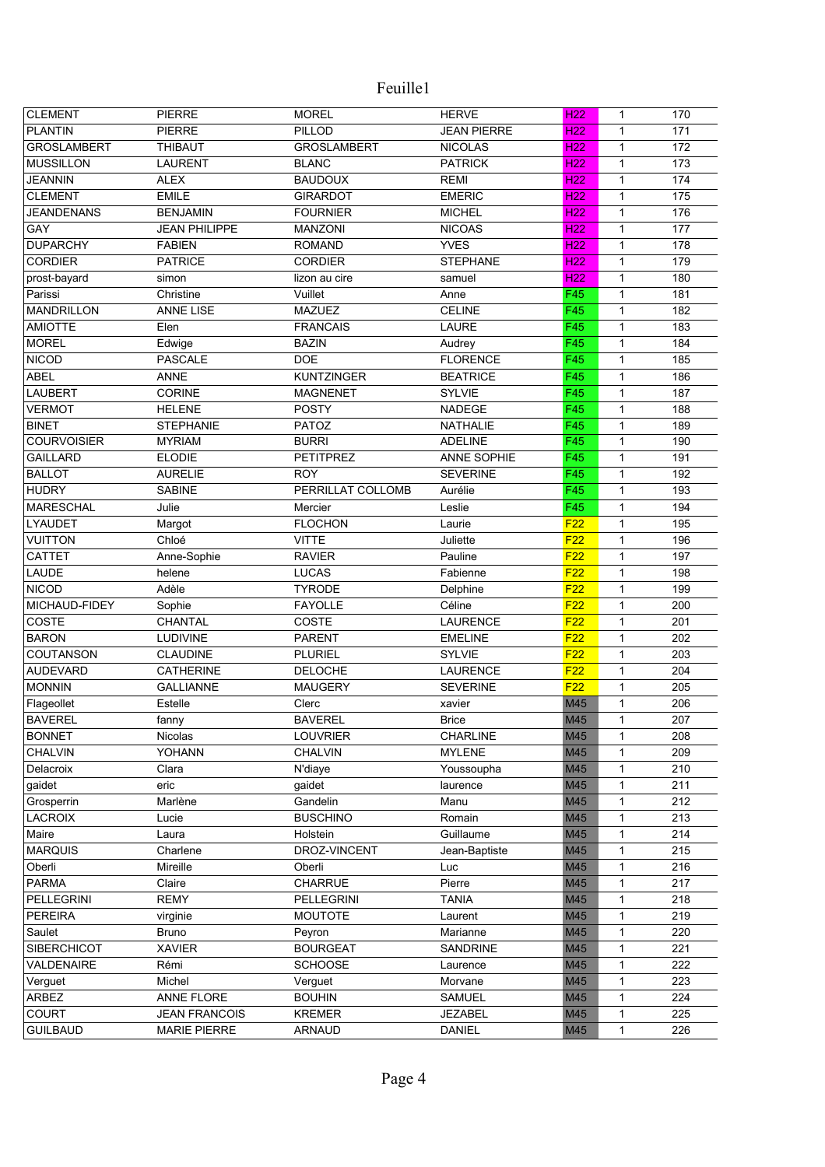| <b>CLEMENT</b>     | <b>PIERRE</b>        | <b>MOREL</b>       | <b>HERVE</b>       | H <sub>22</sub> | $\mathbf{1}$ | 170 |
|--------------------|----------------------|--------------------|--------------------|-----------------|--------------|-----|
| <b>PLANTIN</b>     | <b>PIERRE</b>        | <b>PILLOD</b>      | <b>JEAN PIERRE</b> | H <sub>22</sub> | $\mathbf{1}$ | 171 |
| <b>GROSLAMBERT</b> | <b>THIBAUT</b>       | <b>GROSLAMBERT</b> | <b>NICOLAS</b>     | <b>H22</b>      | $\mathbf{1}$ | 172 |
| <b>MUSSILLON</b>   | <b>LAURENT</b>       | <b>BLANC</b>       | <b>PATRICK</b>     | H <sub>22</sub> | $\mathbf{1}$ | 173 |
| <b>JEANNIN</b>     | <b>ALEX</b>          | <b>BAUDOUX</b>     | <b>REMI</b>        | H <sub>22</sub> | $\mathbf{1}$ | 174 |
| <b>CLEMENT</b>     | <b>EMILE</b>         | <b>GIRARDOT</b>    | <b>EMERIC</b>      | H <sub>22</sub> | $\mathbf{1}$ | 175 |
| <b>JEANDENANS</b>  | <b>BENJAMIN</b>      | <b>FOURNIER</b>    | <b>MICHEL</b>      | H <sub>22</sub> | 1            | 176 |
| GAY                | <b>JEAN PHILIPPE</b> | <b>MANZONI</b>     | <b>NICOAS</b>      | H <sub>22</sub> | 1            | 177 |
| <b>DUPARCHY</b>    | <b>FABIEN</b>        | <b>ROMAND</b>      | <b>YVES</b>        | H <sub>22</sub> | $\mathbf{1}$ | 178 |
| <b>CORDIER</b>     | <b>PATRICE</b>       | <b>CORDIER</b>     | <b>STEPHANE</b>    | H <sub>22</sub> | $\mathbf{1}$ | 179 |
| prost-bayard       | simon                | lizon au cire      | samuel             | H <sub>22</sub> | $\mathbf{1}$ | 180 |
| Parissi            | Christine            | Vuillet            | Anne               | F45             | $\mathbf{1}$ | 181 |
| <b>MANDRILLON</b>  | <b>ANNE LISE</b>     | <b>MAZUEZ</b>      | <b>CELINE</b>      | F45             | $\mathbf{1}$ | 182 |
| <b>AMIOTTE</b>     | Elen                 | <b>FRANCAIS</b>    | LAURE              | F45             | $\mathbf{1}$ | 183 |
| <b>MOREL</b>       | Edwige               | <b>BAZIN</b>       | Audrey             | F45             | $\mathbf{1}$ | 184 |
| <b>NICOD</b>       | <b>PASCALE</b>       | <b>DOE</b>         | <b>FLORENCE</b>    | F45             | $\mathbf{1}$ | 185 |
| <b>ABEL</b>        | <b>ANNE</b>          | <b>KUNTZINGER</b>  | <b>BEATRICE</b>    | F45             | $\mathbf{1}$ | 186 |
| <b>LAUBERT</b>     | <b>CORINE</b>        | <b>MAGNENET</b>    | <b>SYLVIE</b>      | F45             | $\mathbf{1}$ | 187 |
| <b>VERMOT</b>      | <b>HELENE</b>        | <b>POSTY</b>       | <b>NADEGE</b>      | F45             | $\mathbf{1}$ | 188 |
| <b>BINET</b>       |                      |                    |                    |                 |              |     |
|                    | <b>STEPHANIE</b>     | <b>PATOZ</b>       | <b>NATHALIE</b>    | F45<br>F45      | $\mathbf{1}$ | 189 |
| <b>COURVOISIER</b> | <b>MYRIAM</b>        | <b>BURRI</b>       | <b>ADELINE</b>     |                 | 1            | 190 |
| <b>GAILLARD</b>    | <b>ELODIE</b>        | <b>PETITPREZ</b>   | ANNE SOPHIE        | F45             | 1            | 191 |
| <b>BALLOT</b>      | <b>AURELIE</b>       | <b>ROY</b>         | <b>SEVERINE</b>    | F45             | 1            | 192 |
| <b>HUDRY</b>       | <b>SABINE</b>        | PERRILLAT COLLOMB  | Aurélie            | F45             | $\mathbf{1}$ | 193 |
| <b>MARESCHAL</b>   | Julie                | Mercier            | Leslie             | F45             | $\mathbf{1}$ | 194 |
| <b>LYAUDET</b>     | Margot               | <b>FLOCHON</b>     | Laurie             | F22             | $\mathbf{1}$ | 195 |
| <b>VUITTON</b>     | Chloé                | <b>VITTE</b>       | Juliette           | F22             | $\mathbf{1}$ | 196 |
| <b>CATTET</b>      | Anne-Sophie          | <b>RAVIER</b>      | Pauline            | F <sub>22</sub> | $\mathbf{1}$ | 197 |
| LAUDE              | helene               | <b>LUCAS</b>       | Fabienne           | F22             | $\mathbf{1}$ | 198 |
| <b>NICOD</b>       | Adèle                | <b>TYRODE</b>      | Delphine           | F22             | $\mathbf{1}$ | 199 |
| MICHAUD-FIDEY      | Sophie               | <b>FAYOLLE</b>     | Céline             | F <sub>22</sub> | $\mathbf{1}$ | 200 |
| COSTE              | CHANTAL              | COSTE              | <b>LAURENCE</b>    | F22             | $\mathbf{1}$ | 201 |
| <b>BARON</b>       | LUDIVINE             | <b>PARENT</b>      | <b>EMELINE</b>     | F22             | $\mathbf{1}$ | 202 |
| COUTANSON          | <b>CLAUDINE</b>      | <b>PLURIEL</b>     | <b>SYLVIE</b>      | F22             | 1            | 203 |
| <b>AUDEVARD</b>    | <b>CATHERINE</b>     | <b>DELOCHE</b>     | <b>LAURENCE</b>    | F22             | 1            | 204 |
| <b>MONNIN</b>      | <b>GALLIANNE</b>     | <b>MAUGERY</b>     | <b>SEVERINE</b>    | F22             | 1            | 205 |
| Flageollet         | Estelle              | Clerc              | xavier             | M45             | 1            | 206 |
| <b>BAVEREL</b>     | fanny                | <b>BAVEREL</b>     | <b>Brice</b>       | M45             | 1            | 207 |
| <b>BONNET</b>      | Nicolas              | <b>LOUVRIER</b>    | <b>CHARLINE</b>    | M45             | $\mathbf{1}$ | 208 |
| <b>CHALVIN</b>     | <b>YOHANN</b>        | <b>CHALVIN</b>     | <b>MYLENE</b>      | M45             | 1            | 209 |
| Delacroix          | Clara                | N'diaye            | Youssoupha         | M45             | $\mathbf{1}$ | 210 |
| gaidet             | eric                 | gaidet             | laurence           | M45             | 1            | 211 |
| Grosperrin         | Marlène              | Gandelin           | Manu               | M45             | 1            | 212 |
| <b>LACROIX</b>     | Lucie                | <b>BUSCHINO</b>    | Romain             | M45             | 1            | 213 |
| Maire              | Laura                | Holstein           | Guillaume          | M45             | $\mathbf{1}$ | 214 |
| <b>MARQUIS</b>     | Charlene             | DROZ-VINCENT       | Jean-Baptiste      | M45             | 1            | 215 |
| Oberli             | Mireille             | Oberli             | Luc                | M45             | 1            | 216 |
| <b>PARMA</b>       | Claire               | CHARRUE            | Pierre             | M45             | 1            | 217 |
| PELLEGRINI         | <b>REMY</b>          | <b>PELLEGRINI</b>  | <b>TANIA</b>       | M45             | 1            | 218 |
| <b>PEREIRA</b>     | virginie             | <b>MOUTOTE</b>     | Laurent            | M45             | 1            | 219 |
| Saulet             | <b>Bruno</b>         | Peyron             | Marianne           | M45             | 1            | 220 |
| <b>SIBERCHICOT</b> | <b>XAVIER</b>        | <b>BOURGEAT</b>    | SANDRINE           | M45             | 1            | 221 |
| VALDENAIRE         | Rémi                 | <b>SCHOOSE</b>     | Laurence           | M45             | 1            | 222 |
| Verguet            | Michel               | Verguet            | Morvane            | M45             | 1            | 223 |
| ARBEZ              | <b>ANNE FLORE</b>    | <b>BOUHIN</b>      | <b>SAMUEL</b>      | M45             | 1            | 224 |
| COURT              | <b>JEAN FRANCOIS</b> | <b>KREMER</b>      | <b>JEZABEL</b>     | M45             | 1            | 225 |
| <b>GUILBAUD</b>    | <b>MARIE PIERRE</b>  | <b>ARNAUD</b>      | <b>DANIEL</b>      | M45             | 1            | 226 |
|                    |                      |                    |                    |                 |              |     |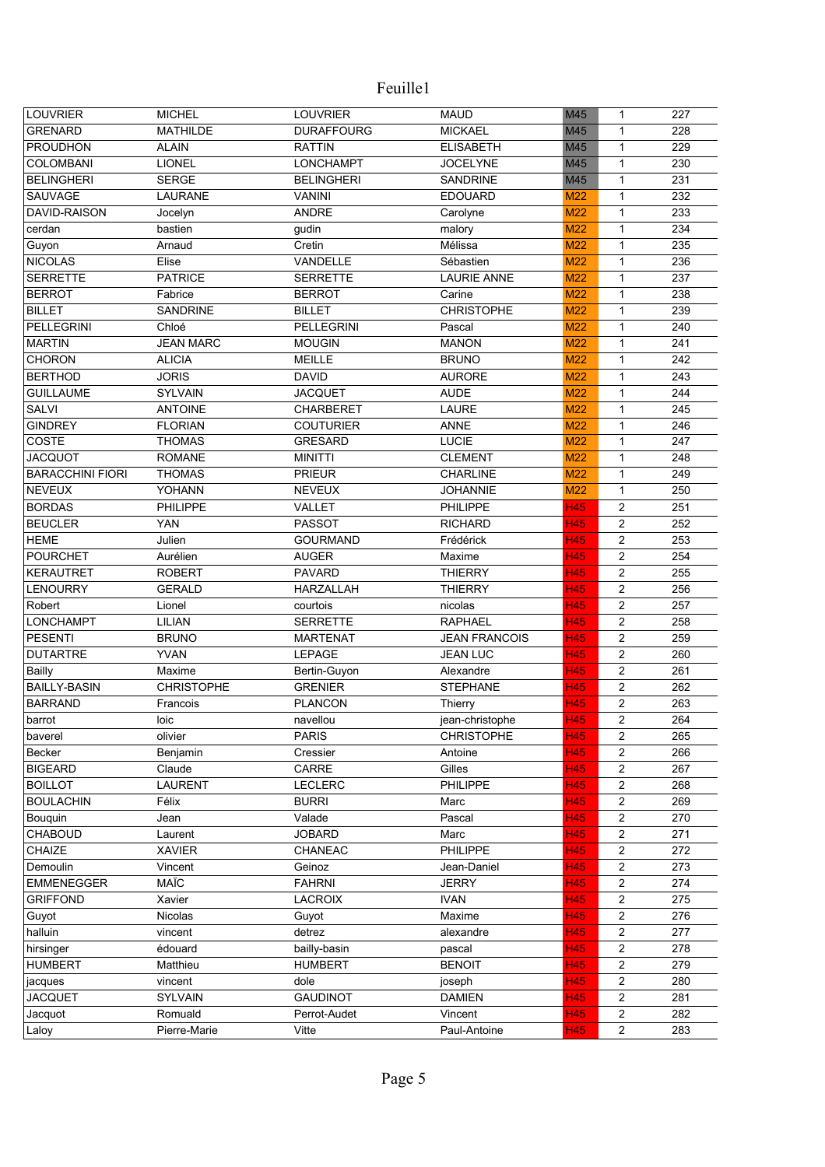| <b>LOUVRIER</b>         | <b>MICHEL</b>     | <b>LOUVRIER</b>   | <b>MAUD</b>          | M45        | $\mathbf{1}$            | 227 |
|-------------------------|-------------------|-------------------|----------------------|------------|-------------------------|-----|
| <b>GRENARD</b>          | <b>MATHILDE</b>   | <b>DURAFFOURG</b> | <b>MICKAEL</b>       | M45        | $\mathbf{1}$            | 228 |
| <b>PROUDHON</b>         | <b>ALAIN</b>      | <b>RATTIN</b>     | <b>ELISABETH</b>     | M45        | $\mathbf{1}$            | 229 |
| <b>COLOMBANI</b>        | <b>LIONEL</b>     | <b>LONCHAMPT</b>  | <b>JOCELYNE</b>      | M45        | 1                       | 230 |
| <b>BELINGHERI</b>       | <b>SERGE</b>      | <b>BELINGHERI</b> | <b>SANDRINE</b>      | M45        | $\mathbf{1}$            | 231 |
| <b>SAUVAGE</b>          | <b>LAURANE</b>    |                   |                      |            | $\mathbf{1}$            | 232 |
|                         |                   | <b>VANINI</b>     | <b>EDOUARD</b>       | M22        |                         |     |
| DAVID-RAISON            | Jocelyn           | <b>ANDRE</b>      | Carolyne             | M22        | $\mathbf{1}$            | 233 |
| cerdan                  | bastien           | gudin             | malory               | M22        | 1                       | 234 |
| Guyon                   | Arnaud            | Cretin            | Mélissa              | M22        | $\mathbf{1}$            | 235 |
| <b>NICOLAS</b>          | Elise             | VANDELLE          | Sébastien            | M22        | $\mathbf{1}$            | 236 |
| <b>SERRETTE</b>         | <b>PATRICE</b>    | <b>SERRETTE</b>   | <b>LAURIE ANNE</b>   | M22        | $\mathbf{1}$            | 237 |
| <b>BERROT</b>           | Fabrice           | <b>BERROT</b>     | Carine               | M22        | $\mathbf{1}$            | 238 |
| <b>BILLET</b>           | <b>SANDRINE</b>   | <b>BILLET</b>     | <b>CHRISTOPHE</b>    | M22        | $\mathbf{1}$            | 239 |
| <b>PELLEGRINI</b>       | Chloé             | <b>PELLEGRINI</b> | Pascal               | M22        | $\mathbf{1}$            | 240 |
| <b>MARTIN</b>           | <b>JEAN MARC</b>  | <b>MOUGIN</b>     | <b>MANON</b>         | <b>M22</b> | $\mathbf{1}$            | 241 |
| <b>CHORON</b>           | <b>ALICIA</b>     | <b>MEILLE</b>     | <b>BRUNO</b>         | <b>M22</b> | $\mathbf{1}$            | 242 |
| <b>BERTHOD</b>          | <b>JORIS</b>      | <b>DAVID</b>      | <b>AURORE</b>        | <b>M22</b> | $\mathbf{1}$            | 243 |
| <b>GUILLAUME</b>        | <b>SYLVAIN</b>    | <b>JACQUET</b>    | <b>AUDE</b>          | M22        | $\mathbf{1}$            | 244 |
| <b>SALVI</b>            | <b>ANTOINE</b>    | <b>CHARBERET</b>  | <b>LAURE</b>         | M22        | $\mathbf{1}$            | 245 |
| <b>GINDREY</b>          | <b>FLORIAN</b>    | <b>COUTURIER</b>  | <b>ANNE</b>          | M22        | $\mathbf{1}$            | 246 |
| COSTE                   | <b>THOMAS</b>     | <b>GRESARD</b>    | <b>LUCIE</b>         | M22        | $\mathbf{1}$            | 247 |
| <b>JACQUOT</b>          | <b>ROMANE</b>     | <b>MINITTI</b>    | <b>CLEMENT</b>       | M22        | $\mathbf{1}$            | 248 |
| <b>BARACCHINI FIORI</b> | <b>THOMAS</b>     | <b>PRIEUR</b>     | <b>CHARLINE</b>      | M22        | $\mathbf{1}$            | 249 |
| <b>NEVEUX</b>           | YOHANN            | <b>NEVEUX</b>     | <b>JOHANNIE</b>      | M22        | $\mathbf{1}$            | 250 |
| <b>BORDAS</b>           | <b>PHILIPPE</b>   | VALLET            | PHILIPPE             | <b>H45</b> | $\overline{c}$          | 251 |
| <b>BEUCLER</b>          | <b>YAN</b>        | <b>PASSOT</b>     | <b>RICHARD</b>       | <b>H45</b> | $\overline{c}$          | 252 |
| <b>HEME</b>             | Julien            | <b>GOURMAND</b>   | Frédérick            | <b>H45</b> | $\overline{c}$          | 253 |
| <b>POURCHET</b>         | Aurélien          | <b>AUGER</b>      | Maxime               | <b>H45</b> | $\overline{c}$          | 254 |
| <b>KERAUTRET</b>        | <b>ROBERT</b>     | <b>PAVARD</b>     | <b>THIERRY</b>       | <b>H45</b> | $\overline{c}$          | 255 |
| <b>LENOURRY</b>         | <b>GERALD</b>     | <b>HARZALLAH</b>  | <b>THIERRY</b>       | H45        | $\overline{\mathbf{c}}$ | 256 |
| Robert                  | Lionel            | courtois          | nicolas              | H45        | $\overline{c}$          | 257 |
| <b>LONCHAMPT</b>        | LILIAN            | <b>SERRETTE</b>   | <b>RAPHAEL</b>       | <b>H45</b> | 2                       | 258 |
| <b>PESENTI</b>          | <b>BRUNO</b>      | <b>MARTENAT</b>   | <b>JEAN FRANCOIS</b> | H45        | 2                       | 259 |
| <b>DUTARTRE</b>         | <b>YVAN</b>       | LEPAGE            | <b>JEAN LUC</b>      | H45        | $\overline{\mathbf{c}}$ | 260 |
| Bailly                  | Maxime            | Bertin-Guyon      | Alexandre            | <b>H45</b> | $\overline{c}$          | 261 |
| <b>BAILLY-BASIN</b>     | <b>CHRISTOPHE</b> | <b>GRENIER</b>    | <b>STEPHANE</b>      | H45        | $\overline{c}$          | 262 |
| <b>BARRAND</b>          | Francois          | <b>PLANCON</b>    | Thierry              | <b>H45</b> | $\overline{\mathbf{c}}$ | 263 |
| barrot                  | loic              | navellou          | jean-christophe      | <b>H45</b> | $\overline{c}$          | 264 |
| baverel                 | olivier           | <b>PARIS</b>      | <b>CHRISTOPHE</b>    | <b>H45</b> | 2                       | 265 |
| Becker                  | Benjamin          | Cressier          | Antoine              | <b>H45</b> | $\overline{c}$          | 266 |
| <b>BIGEARD</b>          | Claude            | CARRE             | Gilles               | <b>H45</b> | $\overline{c}$          | 267 |
| <b>BOILLOT</b>          | <b>LAURENT</b>    | <b>LECLERC</b>    | PHILIPPE             | <b>H45</b> | $\overline{c}$          | 268 |
| <b>BOULACHIN</b>        | Félix             | <b>BURRI</b>      | Marc                 | <b>H45</b> | $\overline{c}$          | 269 |
| Bouguin                 | Jean              | Valade            | Pascal               | <b>H45</b> | $\overline{c}$          | 270 |
| <b>CHABOUD</b>          | Laurent           | <b>JOBARD</b>     | Marc                 | <b>H45</b> | $\overline{c}$          | 271 |
| CHAIZE                  | <b>XAVIER</b>     | CHANEAC           | PHILIPPE             | <b>H45</b> | 2                       | 272 |
| Demoulin                | Vincent           | Geinoz            | Jean-Daniel          | <b>H45</b> | 2                       | 273 |
| <b>EMMENEGGER</b>       | <b>MAÏC</b>       | <b>FAHRNI</b>     | <b>JERRY</b>         | H45        | $\overline{c}$          | 274 |
| <b>GRIFFOND</b>         | Xavier            | <b>LACROIX</b>    | <b>IVAN</b>          | H45        | 2                       | 275 |
| Guyot                   | <b>Nicolas</b>    | Guyot             | Maxime               | H45        | $\overline{c}$          | 276 |
| halluin                 | vincent           | detrez            | alexandre            | H45        | $\overline{\mathbf{c}}$ | 277 |
| hirsinger               | édouard           | bailly-basin      | pascal               | H45        | $\overline{\mathbf{c}}$ | 278 |
| <b>HUMBERT</b>          | Matthieu          | <b>HUMBERT</b>    | <b>BENOIT</b>        | <b>H45</b> | $\overline{c}$          | 279 |
| jacques                 | vincent           | dole              | joseph               | <b>H45</b> | $\overline{c}$          | 280 |
| <b>JACQUET</b>          | <b>SYLVAIN</b>    | <b>GAUDINOT</b>   | <b>DAMIEN</b>        | <b>H45</b> | $\overline{c}$          | 281 |
| Jacquot                 | Romuald           | Perrot-Audet      | Vincent              | <b>H45</b> | $\overline{c}$          | 282 |
| Laloy                   | Pierre-Marie      | Vitte             | Paul-Antoine         | <b>H45</b> | $\overline{c}$          | 283 |
|                         |                   |                   |                      |            |                         |     |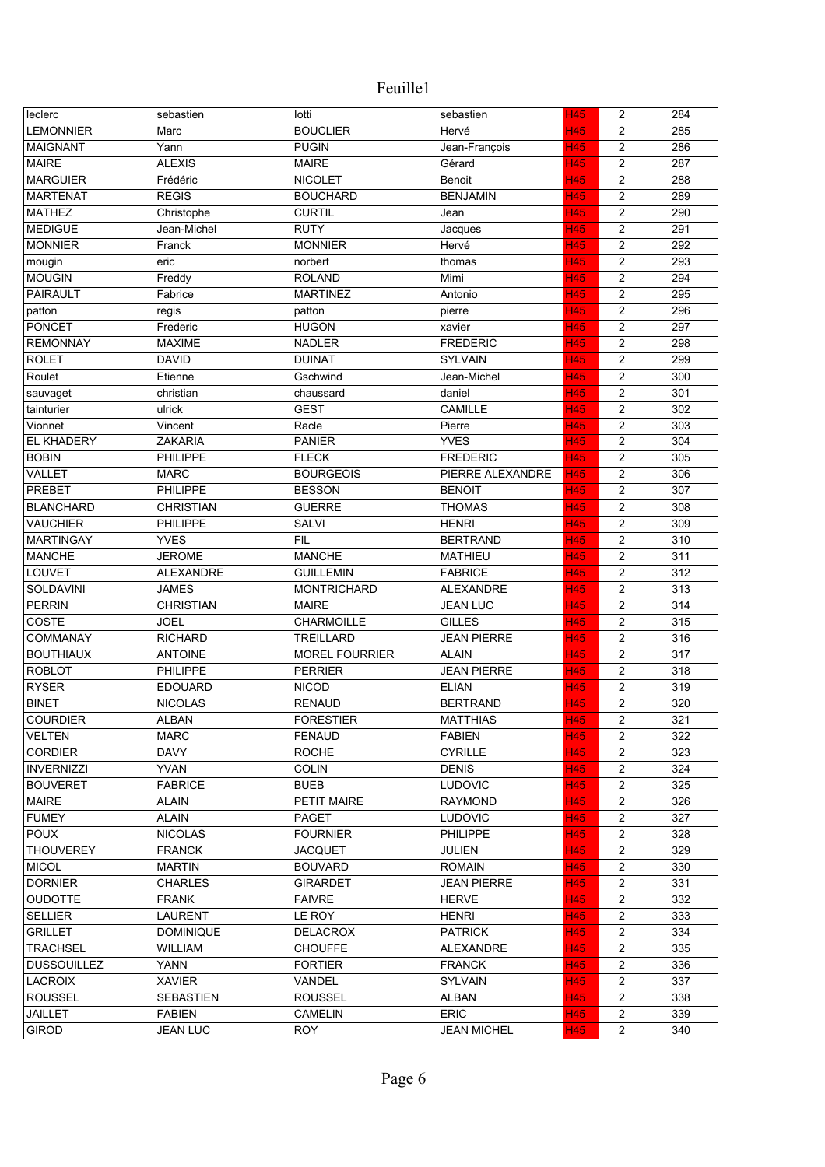| leclerc                             | sebastien        | lotti                      | sebastien          | <b>H45</b> | $\overline{2}$          | 284        |
|-------------------------------------|------------------|----------------------------|--------------------|------------|-------------------------|------------|
| <b>LEMONNIER</b>                    | Marc             | <b>BOUCLIER</b>            | Hervé              | <b>H45</b> | 2                       | 285        |
| <b>MAIGNANT</b>                     | Yann             | <b>PUGIN</b>               | Jean-François      | <b>H45</b> | $\overline{c}$          | 286        |
| <b>MAIRE</b>                        | <b>ALEXIS</b>    | <b>MAIRE</b>               | Gérard             | H45        | $\overline{c}$          | 287        |
| <b>MARGUIER</b>                     | Frédéric         | <b>NICOLET</b>             | Benoit             | H45        | $\overline{c}$          | 288        |
| <b>MARTENAT</b>                     | <b>REGIS</b>     | <b>BOUCHARD</b>            | <b>BENJAMIN</b>    | H45        | 2                       | 289        |
| <b>MATHEZ</b>                       | Christophe       | <b>CURTIL</b>              | Jean               | H45        | $\overline{c}$          | 290        |
| <b>MEDIGUE</b>                      | Jean-Michel      | <b>RUTY</b>                | Jacques            | H45        | $\overline{c}$          | 291        |
| <b>MONNIER</b>                      | Franck           | <b>MONNIER</b>             | Hervé              | H45        | 2                       | 292        |
| mougin                              | eric             | norbert                    | thomas             | H45        | $\overline{c}$          | 293        |
| <b>MOUGIN</b>                       | Freddy           | <b>ROLAND</b>              | Mimi               | H45        | $\overline{\mathbf{c}}$ | 294        |
| PAIRAULT                            | Fabrice          | <b>MARTINEZ</b>            | Antonio            | H45        | $\overline{\mathbf{c}}$ | 295        |
| patton                              | regis            | patton                     | pierre             | <b>H45</b> | $\overline{c}$          | 296        |
| <b>PONCET</b>                       | Frederic         | <b>HUGON</b>               | xavier             | <b>H45</b> | $\overline{c}$          | 297        |
| <b>REMONNAY</b>                     | <b>MAXIME</b>    | <b>NADLER</b>              | <b>FREDERIC</b>    | H45        | $\overline{2}$          | 298        |
| <b>ROLET</b>                        | <b>DAVID</b>     | <b>DUINAT</b>              | <b>SYLVAIN</b>     | H45        | $\overline{2}$          | 299        |
| Roulet                              | Etienne          | Gschwind                   | Jean-Michel        | H45        | $\overline{c}$          | 300        |
| sauvaget                            | christian        | chaussard                  | daniel             | H45        | $\overline{c}$          | 301        |
| tainturier                          | ulrick           | <b>GEST</b>                | <b>CAMILLE</b>     | H45        | $\overline{c}$          | 302        |
| Vionnet                             | Vincent          | Racle                      | Pierre             | H45        | $\overline{c}$          | 303        |
| <b>EL KHADERY</b>                   | <b>ZAKARIA</b>   | <b>PANIER</b>              | <b>YVES</b>        | <b>H45</b> | $\overline{c}$          | 304        |
| <b>BOBIN</b>                        | PHILIPPE         | <b>FLECK</b>               | <b>FREDERIC</b>    | H45        | $\overline{c}$          | 305        |
| VALLET                              | <b>MARC</b>      | <b>BOURGEOIS</b>           | PIERRE ALEXANDRE   | H45        | $\overline{c}$          | 306        |
| <b>PREBET</b>                       | <b>PHILIPPE</b>  | <b>BESSON</b>              | <b>BENOIT</b>      | H45        | $\overline{c}$          | 307        |
| <b>BLANCHARD</b>                    | <b>CHRISTIAN</b> | <b>GUERRE</b>              | <b>THOMAS</b>      | <b>H45</b> | $\overline{c}$          | 308        |
| <b>VAUCHIER</b>                     | PHILIPPE         | <b>SALVI</b>               | <b>HENRI</b>       | H45        | $\overline{c}$          | 309        |
| <b>MARTINGAY</b>                    | <b>YVES</b>      | <b>FIL</b>                 | <b>BERTRAND</b>    | H45        | $\overline{c}$          | 310        |
| <b>MANCHE</b>                       | <b>JEROME</b>    | <b>MANCHE</b>              | <b>MATHIEU</b>     | <b>H45</b> | $\overline{2}$          | 311        |
| LOUVET                              | <b>ALEXANDRE</b> | <b>GUILLEMIN</b>           | <b>FABRICE</b>     | <b>H45</b> | $\overline{2}$          | 312        |
| SOLDAVINI                           | <b>JAMES</b>     | <b>MONTRICHARD</b>         | <b>ALEXANDRE</b>   | <b>H45</b> | $\overline{c}$          | 313        |
| <b>PERRIN</b>                       | <b>CHRISTIAN</b> | <b>MAIRE</b>               | <b>JEAN LUC</b>    | <b>H45</b> | $\overline{c}$          | 314        |
| COSTE                               | <b>JOEL</b>      | <b>CHARMOILLE</b>          | <b>GILLES</b>      | <b>H45</b> | $\overline{c}$          | 315        |
| <b>COMMANAY</b>                     | <b>RICHARD</b>   | <b>TREILLARD</b>           | <b>JEAN PIERRE</b> | <b>H45</b> | $\overline{c}$          | 316        |
| <b>BOUTHIAUX</b>                    | <b>ANTOINE</b>   | <b>MOREL FOURRIER</b>      | <b>ALAIN</b>       | H45        | $\overline{c}$          | 317        |
| <b>ROBLOT</b>                       | PHILIPPE         | <b>PERRIER</b>             | <b>JEAN PIERRE</b> | <b>H45</b> | $\overline{2}$          | 318        |
| <b>RYSER</b>                        | <b>EDOUARD</b>   | <b>NICOD</b>               | <b>ELIAN</b>       | <b>H45</b> | $\overline{2}$          | 319        |
| <b>BINET</b>                        | <b>NICOLAS</b>   | <b>RENAUD</b>              | <b>BERTRAND</b>    | H45        | $\overline{c}$          | 320        |
| <b>COURDIER</b>                     | <b>ALBAN</b>     | <b>FORESTIER</b>           | <b>MATTHIAS</b>    | <b>H45</b> | $\overline{c}$          | 321        |
| <b>VELTEN</b>                       | <b>MARC</b>      | <b>FENAUD</b>              | <b>FABIEN</b>      | <b>H45</b> | $\overline{2}$          | 322        |
|                                     | <b>DAVY</b>      |                            | <b>CYRILLE</b>     | <b>H45</b> |                         |            |
| <b>CORDIER</b><br><b>INVERNIZZI</b> | <b>YVAN</b>      | <b>ROCHE</b>               | <b>DENIS</b>       |            | $\overline{c}$          | 323<br>324 |
|                                     | <b>FABRICE</b>   | <b>COLIN</b>               |                    | <b>H45</b> | $\overline{c}$          |            |
| <b>BOUVERET</b>                     |                  | <b>BUEB</b><br>PETIT MAIRE | LUDOVIC            | <b>H45</b> | $\overline{c}$<br>2     | 325<br>326 |
| <b>MAIRE</b>                        | <b>ALAIN</b>     |                            | <b>RAYMOND</b>     | <b>H45</b> |                         |            |
| <b>FUMEY</b>                        | <b>ALAIN</b>     | <b>PAGET</b>               | <b>LUDOVIC</b>     | H45        | 2                       | 327        |
| <b>POUX</b>                         | <b>NICOLAS</b>   | <b>FOURNIER</b>            | <b>PHILIPPE</b>    | <b>H45</b> | $\overline{2}$          | 328        |
| <b>THOUVEREY</b>                    | <b>FRANCK</b>    | <b>JACQUET</b>             | JULIEN             | H45        | $\overline{2}$          | 329        |
| <b>MICOL</b>                        | <b>MARTIN</b>    | <b>BOUVARD</b>             | <b>ROMAIN</b>      | <b>H45</b> | $\overline{2}$          | 330        |
| <b>DORNIER</b>                      | <b>CHARLES</b>   | <b>GIRARDET</b>            | <b>JEAN PIERRE</b> | <b>H45</b> | 2                       | 331        |
| <b>OUDOTTE</b>                      | <b>FRANK</b>     | <b>FAIVRE</b>              | <b>HERVE</b>       | <b>H45</b> | 2                       | 332        |
| <b>SELLIER</b>                      | <b>LAURENT</b>   | LE ROY                     | <b>HENRI</b>       | <b>H45</b> | $\overline{2}$          | 333        |
| <b>GRILLET</b>                      | <b>DOMINIQUE</b> | <b>DELACROX</b>            | <b>PATRICK</b>     | <b>H45</b> | $\overline{c}$          | 334        |
| <b>TRACHSEL</b>                     | <b>WILLIAM</b>   | <b>CHOUFFE</b>             | ALEXANDRE          | <b>H45</b> | 2                       | 335        |
| <b>DUSSOUILLEZ</b>                  | YANN             | <b>FORTIER</b>             | <b>FRANCK</b>      | <b>H45</b> | $\overline{2}$          | 336        |
| <b>LACROIX</b>                      | <b>XAVIER</b>    | VANDEL                     | <b>SYLVAIN</b>     | <b>H45</b> | 2                       | 337        |
| <b>ROUSSEL</b>                      | <b>SEBASTIEN</b> | <b>ROUSSEL</b>             | <b>ALBAN</b>       | <b>H45</b> | $\overline{c}$          | 338        |
| <b>JAILLET</b>                      | <b>FABIEN</b>    | <b>CAMELIN</b>             | <b>ERIC</b>        | <b>H45</b> | 2                       | 339        |
| <b>GIROD</b>                        | <b>JEAN LUC</b>  | <b>ROY</b>                 | <b>JEAN MICHEL</b> | H45        | $\overline{2}$          | 340        |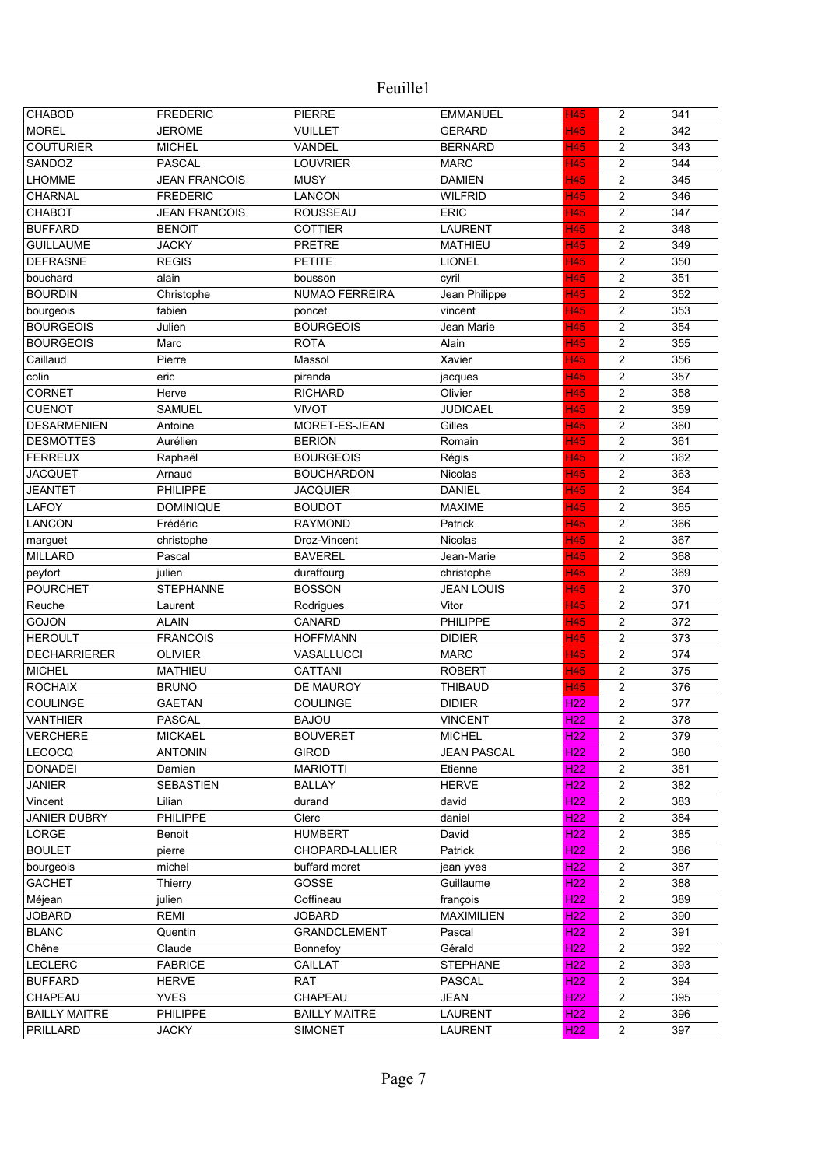| CHABOD                     | <b>FREDERIC</b>       | <b>PIERRE</b>              | <b>EMMANUEL</b>               | <b>H45</b>                         | $\overline{c}$                   | 341        |
|----------------------------|-----------------------|----------------------------|-------------------------------|------------------------------------|----------------------------------|------------|
| <b>MOREL</b>               | <b>JEROME</b>         | <b>VUILLET</b>             | <b>GERARD</b>                 | <b>H45</b>                         | 2                                | 342        |
| <b>COUTURIER</b>           | <b>MICHEL</b>         | VANDEL                     | <b>BERNARD</b>                | H45                                | $\overline{c}$                   | 343        |
| SANDOZ                     | <b>PASCAL</b>         | <b>LOUVRIER</b>            | <b>MARC</b>                   | H45                                | $\overline{2}$                   | 344        |
| <b>LHOMME</b>              | <b>JEAN FRANCOIS</b>  | <b>MUSY</b>                | <b>DAMIEN</b>                 | H45                                | $\overline{2}$                   | 345        |
| <b>CHARNAL</b>             | <b>FREDERIC</b>       | <b>LANCON</b>              | <b>WILFRID</b>                | <b>H45</b>                         | 2                                | 346        |
| <b>CHABOT</b>              | <b>JEAN FRANCOIS</b>  | <b>ROUSSEAU</b>            | <b>ERIC</b>                   | <b>H45</b>                         | $\overline{2}$                   | 347        |
| <b>BUFFARD</b>             | <b>BENOIT</b>         | <b>COTTIER</b>             | <b>LAURENT</b>                | H45                                | $\overline{\mathbf{c}}$          | 348        |
| <b>GUILLAUME</b>           | <b>JACKY</b>          | <b>PRETRE</b>              | <b>MATHIEU</b>                | H45                                | 2                                | 349        |
| <b>DEFRASNE</b>            | <b>REGIS</b>          | <b>PETITE</b>              | <b>LIONEL</b>                 | H45                                | $\overline{2}$                   | 350        |
| bouchard                   | alain                 | bousson                    | cyril                         | H45                                | $\overline{\mathbf{c}}$          | 351        |
| <b>BOURDIN</b>             | Christophe            | NUMAO FERREIRA             | Jean Philippe                 | H45                                | $\overline{\mathbf{c}}$          | 352        |
| bourgeois                  | fabien                | poncet                     | vincent                       | <b>H45</b>                         | $\overline{c}$                   | 353        |
| <b>BOURGEOIS</b>           | Julien                | <b>BOURGEOIS</b>           | Jean Marie                    | <b>H45</b>                         | $\overline{c}$                   | 354        |
| <b>BOURGEOIS</b>           | Marc                  | <b>ROTA</b>                | Alain                         | H45                                | $\overline{c}$                   | 355        |
| Caillaud                   | Pierre                | Massol                     | Xavier                        | H45                                | $\overline{c}$                   | 356        |
| colin                      | eric                  | piranda                    | jacques                       | <b>H45</b>                         | $\overline{c}$                   | 357        |
| <b>CORNET</b>              | Herve                 | <b>RICHARD</b>             | Olivier                       | H45                                | $\overline{c}$                   | 358        |
| <b>CUENOT</b>              | <b>SAMUEL</b>         | <b>VIVOT</b>               | <b>JUDICAEL</b>               | H45                                | $\overline{c}$                   | 359        |
| <b>DESARMENIEN</b>         | Antoine               | MORET-ES-JEAN              | Gilles                        | H45                                | $\overline{c}$                   | 360        |
| <b>DESMOTTES</b>           | Aurélien              | <b>BERION</b>              | Romain                        | <b>H45</b>                         | $\overline{c}$                   | 361        |
| <b>FERREUX</b>             | Raphaël               | <b>BOURGEOIS</b>           | Régis                         | H45                                | $\overline{c}$                   | 362        |
| <b>JACQUET</b>             | Arnaud                | <b>BOUCHARDON</b>          | Nicolas                       | <b>H45</b>                         | $\overline{c}$                   | 363        |
| <b>JEANTET</b>             | <b>PHILIPPE</b>       | <b>JACQUIER</b>            | <b>DANIEL</b>                 | H45                                | $\overline{c}$                   | 364        |
| LAFOY                      | <b>DOMINIQUE</b>      | <b>BOUDOT</b>              | <b>MAXIME</b>                 | H45                                | $\overline{c}$                   | 365        |
| LANCON                     | Frédéric              | <b>RAYMOND</b>             | Patrick                       | H45                                | $\overline{c}$                   | 366        |
| marguet                    | christophe            | Droz-Vincent               | <b>Nicolas</b>                | <b>H45</b>                         | $\overline{c}$                   | 367        |
| <b>MILLARD</b>             | Pascal                | <b>BAVEREL</b>             | Jean-Marie                    | <b>H45</b>                         | $\overline{c}$                   | 368        |
| peyfort                    | julien                | duraffourg                 | christophe                    | <b>H45</b>                         | $\overline{c}$                   | 369        |
| <b>POURCHET</b>            | <b>STEPHANNE</b>      | <b>BOSSON</b>              | <b>JEAN LOUIS</b>             | <b>H45</b>                         | $\overline{c}$                   | 370        |
| Reuche                     | Laurent               | Rodrigues                  | Vitor                         | <b>H45</b>                         | $\overline{c}$                   | 371        |
| <b>GOJON</b>               | <b>ALAIN</b>          | CANARD                     | PHILIPPE                      | <b>H45</b>                         | $\overline{c}$                   | 372        |
| <b>HEROULT</b>             | <b>FRANCOIS</b>       | <b>HOFFMANN</b>            | <b>DIDIER</b>                 | <b>H45</b>                         | $\overline{c}$                   | 373        |
| <b>DECHARRIERER</b>        | <b>OLIVIER</b>        | VASALLUCCI                 | <b>MARC</b>                   | H45                                | $\overline{c}$                   | 374        |
| <b>MICHEL</b>              | <b>MATHIEU</b>        | <b>CATTANI</b>             | <b>ROBERT</b>                 | <b>H45</b>                         | $\overline{c}$                   | 375        |
| <b>ROCHAIX</b>             | <b>BRUNO</b>          | DE MAUROY                  | <b>THIBAUD</b>                | <b>H45</b>                         | $\overline{c}$                   | 376        |
| <b>COULINGE</b>            | <b>GAETAN</b>         | COULINGE                   | <b>DIDIER</b>                 | H <sub>22</sub>                    | $\overline{c}$                   | 377        |
| <b>VANTHIER</b>            | <b>PASCAL</b>         | <b>BAJOU</b>               | <b>VINCENT</b>                | H <sub>22</sub>                    | $\overline{c}$                   | 378        |
| <b>VERCHERE</b>            | <b>MICKAEL</b>        | <b>BOUVERET</b>            | <b>MICHEL</b>                 | H <sub>22</sub>                    | $\overline{2}$                   | 379        |
| <b>LECOCQ</b>              | <b>ANTONIN</b>        | <b>GIROD</b>               | <b>JEAN PASCAL</b>            | H <sub>22</sub>                    | 2                                | 380        |
| <b>DONADEI</b>             | Damien                | <b>MARIOTTI</b>            | Etienne                       | H <sub>22</sub>                    | $\overline{c}$                   | 381        |
| <b>JANIER</b>              | <b>SEBASTIEN</b>      | <b>BALLAY</b>              | <b>HERVE</b>                  | H <sub>22</sub>                    | 2                                | 382        |
| Vincent                    | Lilian                | durand                     | david                         | H <sub>22</sub>                    | 2                                | 383        |
| <b>JANIER DUBRY</b>        | PHILIPPE              | Clerc                      | daniel                        | H <sub>22</sub>                    | 2                                | 384        |
| LORGE                      | Benoit                | <b>HUMBERT</b>             | David                         | H <sub>22</sub>                    | $\overline{c}$                   | 385        |
| <b>BOULET</b>              | pierre                | CHOPARD-LALLIER            | Patrick                       | H <sub>22</sub>                    | $\overline{c}$                   | 386        |
|                            | michel                | buffard moret              |                               | H <sub>22</sub>                    | $\overline{c}$                   | 387        |
| bourgeois<br><b>GACHET</b> |                       | GOSSE                      | jean yves<br>Guillaume        | H <sub>22</sub>                    | 2                                | 388        |
|                            | Thierry               |                            |                               |                                    |                                  |            |
| Méjean<br><b>JOBARD</b>    | julien<br><b>REMI</b> | Coffineau<br><b>JOBARD</b> | françois<br><b>MAXIMILIEN</b> | H <sub>22</sub><br>H <sub>22</sub> | 2<br>$\overline{2}$              | 389<br>390 |
|                            |                       | <b>GRANDCLEMENT</b>        |                               | H <sub>22</sub>                    |                                  | 391        |
| <b>BLANC</b>               | Quentin               |                            | Pascal                        | H <sub>22</sub>                    | $\overline{c}$<br>$\overline{2}$ | 392        |
| Chêne                      | Claude                | Bonnefoy                   | Gérald                        |                                    |                                  |            |
| <b>LECLERC</b>             | <b>FABRICE</b>        | CAILLAT                    | <b>STEPHANE</b>               | H <sub>22</sub>                    | $\overline{2}$                   | 393        |
| <b>BUFFARD</b>             | <b>HERVE</b>          | <b>RAT</b>                 | <b>PASCAL</b>                 | H <sub>22</sub>                    | 2                                | 394        |
| CHAPEAU                    | <b>YVES</b>           | CHAPEAU                    | <b>JEAN</b>                   | H <sub>22</sub>                    | $\overline{c}$                   | 395        |
| <b>BAILLY MAITRE</b>       | PHILIPPE              | <b>BAILLY MAITRE</b>       | <b>LAURENT</b>                | H <sub>22</sub>                    | $\overline{c}$                   | 396        |
| PRILLARD                   | <b>JACKY</b>          | <b>SIMONET</b>             | <b>LAURENT</b>                | H <sub>22</sub>                    | $\overline{2}$                   | 397        |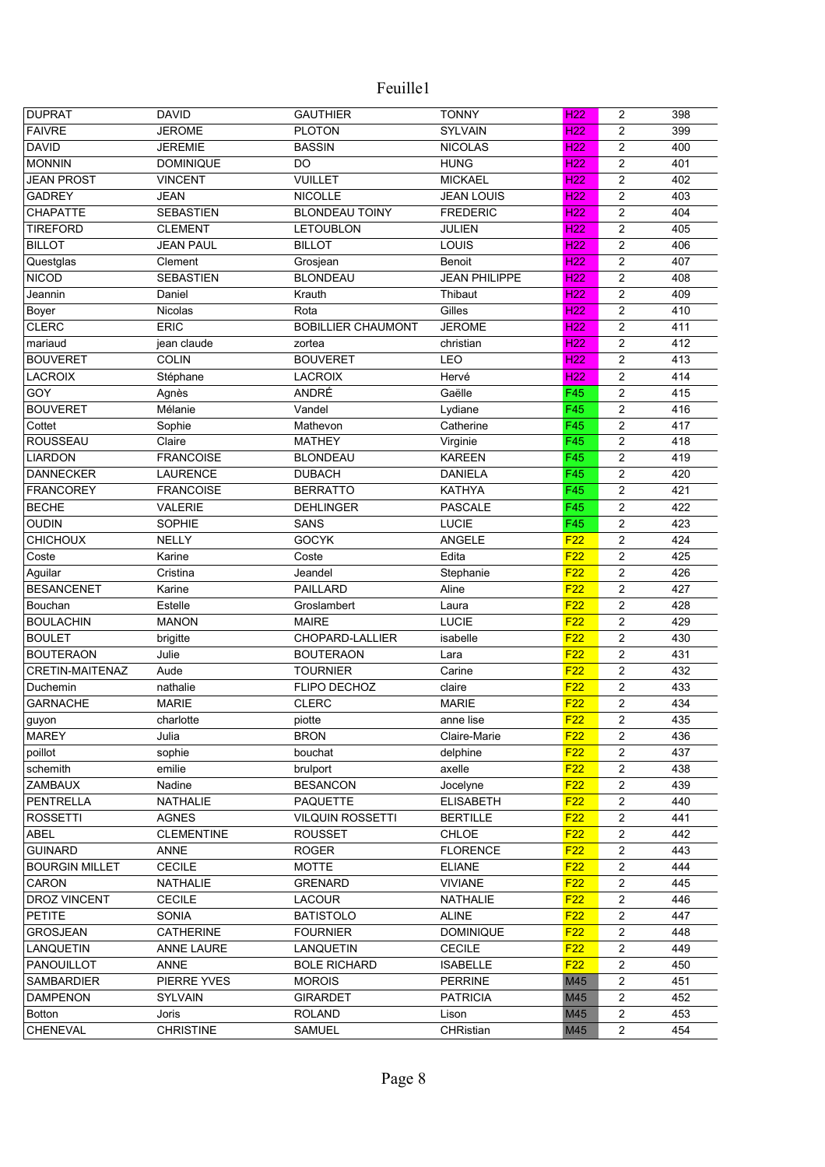| <b>DUPRAT</b>          | <b>DAVID</b>      | <b>GAUTHIER</b>           | <b>TONNY</b>         | H <sub>22</sub>  | 2                | 398 |
|------------------------|-------------------|---------------------------|----------------------|------------------|------------------|-----|
| <b>FAIVRE</b>          | <b>JEROME</b>     | <b>PLOTON</b>             | <b>SYLVAIN</b>       | <b>H22</b>       | 2                | 399 |
| <b>DAVID</b>           | <b>JEREMIE</b>    | <b>BASSIN</b>             | <b>NICOLAS</b>       | H <sub>22</sub>  | $\overline{2}$   | 400 |
| <b>MONNIN</b>          | <b>DOMINIQUE</b>  | DO                        | <b>HUNG</b>          | H <sub>22</sub>  | $\overline{2}$   | 401 |
| <b>JEAN PROST</b>      | <b>VINCENT</b>    | <b>VUILLET</b>            | <b>MICKAEL</b>       | H <sub>22</sub>  | $\overline{c}$   | 402 |
| <b>GADREY</b>          | <b>JEAN</b>       | <b>NICOLLE</b>            | <b>JEAN LOUIS</b>    | H <sub>22</sub>  | $\overline{c}$   | 403 |
| CHAPATTE               | <b>SEBASTIEN</b>  | <b>BLONDEAU TOINY</b>     | <b>FREDERIC</b>      | H <sub>22</sub>  | $\overline{2}$   | 404 |
| <b>TIREFORD</b>        | <b>CLEMENT</b>    | <b>LETOUBLON</b>          | JULIEN               | H <sub>22</sub>  | $\overline{2}$   | 405 |
| <b>BILLOT</b>          | <b>JEAN PAUL</b>  | <b>BILLOT</b>             | LOUIS                | H <sub>22</sub>  | $\overline{2}$   | 406 |
| Questglas              | Clement           | Grosjean                  | Benoit               | H <sub>22</sub>  | $\overline{2}$   | 407 |
| <b>NICOD</b>           | <b>SEBASTIEN</b>  | <b>BLONDEAU</b>           | <b>JEAN PHILIPPE</b> | H <sub>22</sub>  | $\overline{c}$   | 408 |
| Jeannin                | Daniel            | Krauth                    | Thibaut              | H <sub>22</sub>  | $\overline{c}$   | 409 |
| Boyer                  | Nicolas           | Rota                      | Gilles               | H <sub>22</sub>  | $\overline{2}$   | 410 |
| <b>CLERC</b>           | <b>ERIC</b>       | <b>BOBILLIER CHAUMONT</b> | <b>JEROME</b>        | H <sub>22</sub>  | $\overline{c}$   | 411 |
| mariaud                | jean claude       | zortea                    | christian            | H <sub>22</sub>  | $\overline{2}$   | 412 |
| <b>BOUVERET</b>        | <b>COLIN</b>      | <b>BOUVERET</b>           | LEO                  | H <sub>22</sub>  | $\overline{2}$   | 413 |
| <b>LACROIX</b>         | Stéphane          | <b>LACROIX</b>            | Hervé                | H <sub>22</sub>  | $\overline{2}$   | 414 |
| GOY                    | Agnès             | ANDRÉ                     | Gaëlle               | F45              | $\overline{2}$   | 415 |
| <b>BOUVERET</b>        | Mélanie           | Vandel                    |                      | F45              | $\overline{2}$   | 416 |
|                        |                   |                           | Lydiane              |                  |                  |     |
| Cottet                 | Sophie            | Mathevon                  | Catherine            | F45              | $\overline{2}$   | 417 |
| <b>ROUSSEAU</b>        | Claire            | <b>MATHEY</b>             | Virginie             | F45              | $\overline{2}$   | 418 |
| <b>LIARDON</b>         | <b>FRANCOISE</b>  | <b>BLONDEAU</b>           | <b>KAREEN</b>        | F45              | $\overline{c}$   | 419 |
| <b>DANNECKER</b>       | <b>LAURENCE</b>   | <b>DUBACH</b>             | <b>DANIELA</b>       | F45              | $\overline{2}$   | 420 |
| <b>FRANCOREY</b>       | <b>FRANCOISE</b>  | <b>BERRATTO</b>           | <b>KATHYA</b>        | F45              | $\overline{2}$   | 421 |
| <b>BECHE</b>           | <b>VALERIE</b>    | <b>DEHLINGER</b>          | <b>PASCALE</b>       | $\overline{F45}$ | $\overline{c}$   | 422 |
| <b>OUDIN</b>           | SOPHIE            | <b>SANS</b>               | LUCIE                | F45              | $\overline{c}$   | 423 |
| <b>CHICHOUX</b>        | <b>NELLY</b>      | <b>GOCYK</b>              | ANGELE               | F22              | $\overline{c}$   | 424 |
| Coste                  | Karine            | Coste                     | Edita                | F22              | $\overline{2}$   | 425 |
| Aguilar                | Cristina          | Jeandel                   | Stephanie            | F22              | $\overline{c}$   | 426 |
| <b>BESANCENET</b>      | Karine            | <b>PAILLARD</b>           | Aline                | F22              | $\overline{2}$   | 427 |
| Bouchan                | Estelle           | Groslambert               | Laura                | F <sub>22</sub>  | $\overline{2}$   | 428 |
| <b>BOULACHIN</b>       | <b>MANON</b>      | <b>MAIRE</b>              | LUCIE                | F22              | $\overline{2}$   | 429 |
| <b>BOULET</b>          | brigitte          | CHOPARD-LALLIER           | isabelle             | F <sub>22</sub>  | $\overline{2}$   | 430 |
| <b>BOUTERAON</b>       | Julie             | <b>BOUTERAON</b>          | Lara                 | F22              | $\overline{c}$   | 431 |
| <b>CRETIN-MAITENAZ</b> | Aude              | <b>TOURNIER</b>           | Carine               | F22              | $\overline{c}$   | 432 |
| Duchemin               | nathalie          | FLIPO DECHOZ              | claire               | F22              | $\boldsymbol{2}$ | 433 |
| <b>GARNACHE</b>        | <b>MARIE</b>      | <b>CLERC</b>              | <b>MARIE</b>         | F22              | $\overline{2}$   | 434 |
| guyon                  | charlotte         | piotte                    | anne lise            | F <sub>22</sub>  | 2                | 435 |
| <b>MAREY</b>           | Julia             | <b>BRON</b>               | Claire-Marie         | F22              | $\overline{2}$   | 436 |
| poillot                | sophie            | bouchat                   | delphine             | F22              | $\overline{2}$   | 437 |
| schemith               | emilie            | brulport                  | axelle               | F <sub>22</sub>  | $\overline{2}$   | 438 |
| ZAMBAUX                | Nadine            | <b>BESANCON</b>           | Jocelyne             | F <sub>22</sub>  | $\overline{c}$   | 439 |
| PENTRELLA              | NATHALIE          | <b>PAQUETTE</b>           | <b>ELISABETH</b>     | F <sub>22</sub>  | $\overline{c}$   | 440 |
| <b>ROSSETTI</b>        | <b>AGNES</b>      | <b>VILQUIN ROSSETTI</b>   | <b>BERTILLE</b>      | F22              | $\overline{c}$   | 441 |
| ABEL                   | <b>CLEMENTINE</b> | <b>ROUSSET</b>            | CHLOE                | F <sub>22</sub>  | $\overline{c}$   | 442 |
| <b>GUINARD</b>         | ANNE              | <b>ROGER</b>              | <b>FLORENCE</b>      | F22              | $\overline{2}$   | 443 |
| <b>BOURGIN MILLET</b>  | <b>CECILE</b>     | <b>MOTTE</b>              | <b>ELIANE</b>        | F22              | $\overline{c}$   | 444 |
| CARON                  | NATHALIE          | <b>GRENARD</b>            | <b>VIVIANE</b>       | F22              | $\overline{c}$   | 445 |
| <b>DROZ VINCENT</b>    | <b>CECILE</b>     | LACOUR                    | NATHALIE             | F22              | $\boldsymbol{2}$ | 446 |
| <b>PETITE</b>          | SONIA             | <b>BATISTOLO</b>          | <b>ALINE</b>         | F22              | $\overline{2}$   | 447 |
| <b>GROSJEAN</b>        | CATHERINE         | <b>FOURNIER</b>           | <b>DOMINIQUE</b>     | F <sub>22</sub>  | $\overline{c}$   | 448 |
| LANQUETIN              | ANNE LAURE        | LANQUETIN                 | <b>CECILE</b>        | F <sub>22</sub>  | $\overline{2}$   | 449 |
| PANOUILLOT             | ANNE              | <b>BOLE RICHARD</b>       | <b>ISABELLE</b>      | F22              | $\overline{2}$   | 450 |
| SAMBARDIER             | PIERRE YVES       | <b>MOROIS</b>             | <b>PERRINE</b>       | M45              | $\boldsymbol{2}$ | 451 |
| <b>DAMPENON</b>        | <b>SYLVAIN</b>    | <b>GIRARDET</b>           | <b>PATRICIA</b>      | M45              | $\overline{c}$   | 452 |
| <b>Botton</b>          | Joris             | <b>ROLAND</b>             | Lison                | M45              | $\boldsymbol{2}$ | 453 |
| CHENEVAL               | <b>CHRISTINE</b>  | SAMUEL                    | CHRistian            | M45              | $\overline{2}$   | 454 |
|                        |                   |                           |                      |                  |                  |     |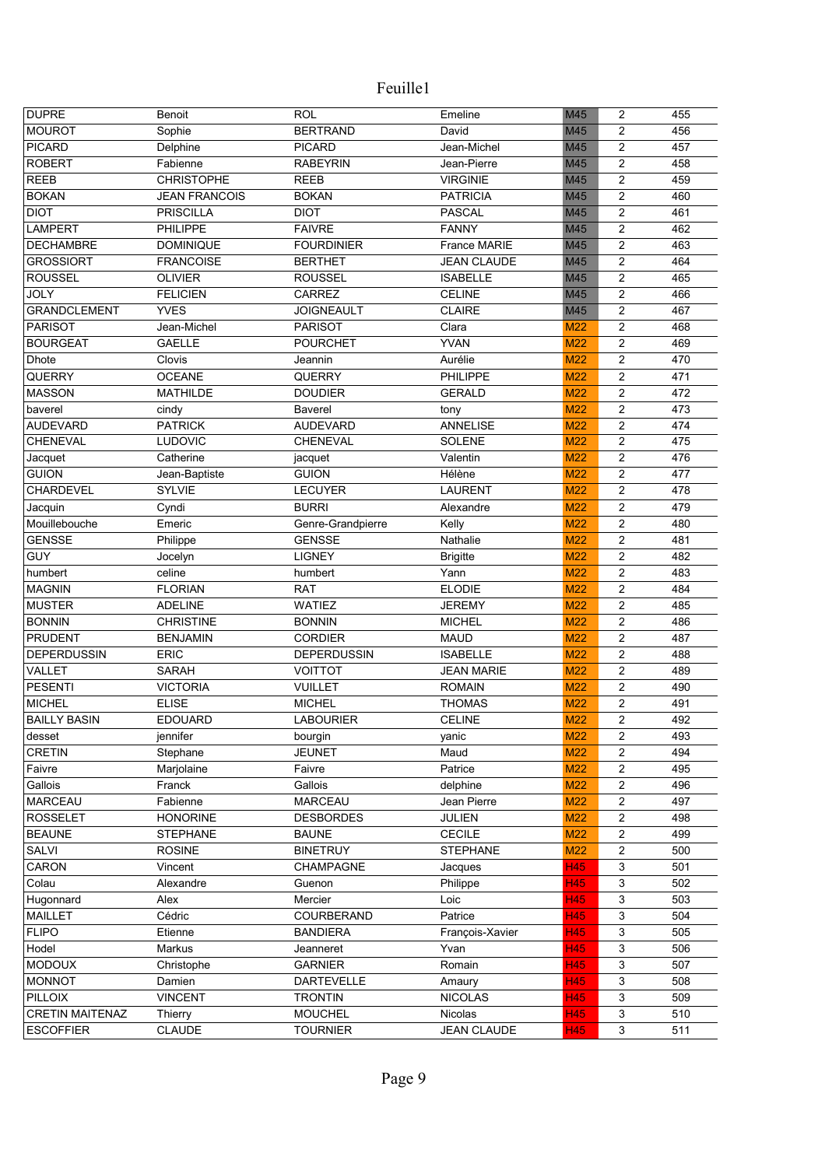| <b>DUPRE</b>                    | Benoit                          | <b>ROL</b>                      | Emeline                        | M45        | 2                                | 455        |
|---------------------------------|---------------------------------|---------------------------------|--------------------------------|------------|----------------------------------|------------|
| <b>MOUROT</b>                   | Sophie                          | <b>BERTRAND</b>                 | David                          | M45        | 2                                | 456        |
| <b>PICARD</b>                   | Delphine                        | <b>PICARD</b>                   | Jean-Michel                    | M45        | $\overline{c}$                   | 457        |
| <b>ROBERT</b>                   | Fabienne                        | <b>RABEYRIN</b>                 | Jean-Pierre                    | M45        | $\overline{c}$                   | 458        |
| <b>REEB</b>                     | <b>CHRISTOPHE</b>               | <b>REEB</b>                     | <b>VIRGINIE</b>                | M45        | $\overline{c}$                   | 459        |
| <b>BOKAN</b>                    | <b>JEAN FRANCOIS</b>            | <b>BOKAN</b>                    | <b>PATRICIA</b>                | M45        | 2                                | 460        |
| <b>DIOT</b>                     | <b>PRISCILLA</b>                | <b>DIOT</b>                     | <b>PASCAL</b>                  | M45        | 2                                | 461        |
| <b>LAMPERT</b>                  | <b>PHILIPPE</b>                 | <b>FAIVRE</b>                   | <b>FANNY</b>                   | M45        | $\overline{c}$                   | 462        |
| <b>DECHAMBRE</b>                | <b>DOMINIQUE</b>                | <b>FOURDINIER</b>               | France MARIE                   | M45        | 2                                | 463        |
| <b>GROSSIORT</b>                | <b>FRANCOISE</b>                | <b>BERTHET</b>                  | <b>JEAN CLAUDE</b>             | M45        | $\overline{c}$                   | 464        |
| <b>ROUSSEL</b>                  | <b>OLIVIER</b>                  | <b>ROUSSEL</b>                  | <b>ISABELLE</b>                | M45        | $\overline{\mathbf{c}}$          | 465        |
| <b>JOLY</b>                     | <b>FELICIEN</b>                 | CARREZ                          | <b>CELINE</b>                  | M45        | $\overline{\mathbf{c}}$          | 466        |
| <b>GRANDCLEMENT</b>             | <b>YVES</b>                     | <b>JOIGNEAULT</b>               | <b>CLAIRE</b>                  | M45        | $\overline{c}$                   | 467        |
| <b>PARISOT</b>                  | Jean-Michel                     | <b>PARISOT</b>                  | Clara                          | M22        | $\overline{c}$                   | 468        |
| <b>BOURGEAT</b>                 | <b>GAELLE</b>                   | <b>POURCHET</b>                 | <b>YVAN</b>                    | M22        | $\overline{c}$                   | 469        |
| <b>Dhote</b>                    | Clovis                          | Jeannin                         | Aurélie                        | <b>M22</b> | $\overline{c}$                   | 470        |
| QUERRY                          | <b>OCEANE</b>                   | <b>QUERRY</b>                   | PHILIPPE                       | M22        | $\overline{c}$                   | 471        |
| <b>MASSON</b>                   | <b>MATHILDE</b>                 | <b>DOUDIER</b>                  | <b>GERALD</b>                  | <b>M22</b> | $\overline{c}$                   | 472        |
| baverel                         | cindy                           | <b>Baverel</b>                  | tony                           | <b>M22</b> | $\overline{c}$                   | 473        |
| <b>AUDEVARD</b>                 | <b>PATRICK</b>                  | <b>AUDEVARD</b>                 | <b>ANNELISE</b>                | <b>M22</b> | $\overline{c}$                   | 474        |
| <b>CHENEVAL</b>                 | <b>LUDOVIC</b>                  | CHENEVAL                        | <b>SOLENE</b>                  | <b>M22</b> | $\overline{c}$                   | 475        |
| Jacquet                         | Catherine                       | jacquet                         | Valentin                       | M22        | $\overline{\mathbf{c}}$          | 476        |
| <b>GUION</b>                    | Jean-Baptiste                   | <b>GUION</b>                    | Hélène                         | M22        | $\overline{c}$                   | 477        |
| CHARDEVEL                       | <b>SYLVIE</b>                   | <b>LECUYER</b>                  | <b>LAURENT</b>                 | M22        | $\overline{c}$                   | 478        |
| Jacquin                         | Cyndi                           | <b>BURRI</b>                    | Alexandre                      | M22        | $\overline{\mathbf{c}}$          | 479        |
| Mouillebouche                   | Emeric                          | Genre-Grandpierre               | Kelly                          | M22        | $\overline{c}$                   | 480        |
| <b>GENSSE</b>                   | Philippe                        | <b>GENSSE</b>                   | Nathalie                       | M22        | $\overline{c}$                   | 481        |
| GUY                             | Jocelyn                         | <b>LIGNEY</b>                   | <b>Brigitte</b>                | M22        | $\overline{c}$                   | 482        |
| humbert                         | celine                          | humbert                         | Yann                           | M22        | $\overline{c}$                   | 483        |
| <b>MAGNIN</b>                   | <b>FLORIAN</b>                  | <b>RAT</b>                      | <b>ELODIE</b>                  | M22        | $\overline{c}$                   | 484        |
| <b>MUSTER</b>                   | <b>ADELINE</b>                  | <b>WATIEZ</b>                   | <b>JEREMY</b>                  | M22        | $\overline{c}$                   | 485        |
| <b>BONNIN</b>                   | <b>CHRISTINE</b>                | <b>BONNIN</b>                   | <b>MICHEL</b>                  | M22        | $\overline{c}$                   | 486        |
| <b>PRUDENT</b>                  | <b>BENJAMIN</b>                 | <b>CORDIER</b>                  | <b>MAUD</b>                    | M22        | $\overline{c}$                   | 487        |
| <b>DEPERDUSSIN</b>              | <b>ERIC</b>                     | <b>DEPERDUSSIN</b>              | <b>ISABELLE</b>                | M22        | $\overline{c}$                   | 488        |
| VALLET                          | <b>SARAH</b>                    | <b>VOITTOT</b>                  | <b>JEAN MARIE</b>              | M22        |                                  | 489        |
|                                 |                                 |                                 |                                |            | 2                                |            |
| <b>PESENTI</b><br><b>MICHEL</b> | <b>VICTORIA</b><br><b>ELISE</b> | <b>VUILLET</b><br><b>MICHEL</b> | <b>ROMAIN</b><br><b>THOMAS</b> | M22        | $\overline{2}$<br>$\overline{c}$ | 490<br>491 |
|                                 |                                 |                                 |                                | M22        |                                  |            |
| <b>BAILLY BASIN</b>             | <b>EDOUARD</b>                  | <b>LABOURIER</b>                | <b>CELINE</b>                  | M22        | $\overline{c}$                   | 492        |
| desset                          | jennifer                        | bourgin                         | yanic                          | M22        | $\overline{c}$                   | 493        |
| <b>CRETIN</b>                   | Stephane                        | <b>JEUNET</b>                   | Maud                           | M22        | 2                                | 494        |
| Faivre                          | Marjolaine                      | Faivre                          | Patrice                        | M22        | 2                                | 495        |
| Gallois                         | Franck                          | Gallois                         | delphine                       | M22        | 2                                | 496        |
| MARCEAU                         | Fabienne                        | <b>MARCEAU</b>                  | Jean Pierre                    | M22        | $\overline{\mathbf{c}}$          | 497        |
| <b>ROSSELET</b>                 | <b>HONORINE</b>                 | <b>DESBORDES</b>                | JULIEN                         | <b>M22</b> | $\overline{\mathbf{c}}$          | 498        |
| <b>BEAUNE</b>                   | <b>STEPHANE</b>                 | <b>BAUNE</b>                    | <b>CECILE</b>                  | M22        | $\overline{c}$                   | 499        |
| <b>SALVI</b>                    | <b>ROSINE</b>                   | <b>BINETRUY</b>                 | <b>STEPHANE</b>                | M22        | $\overline{\mathbf{c}}$          | 500        |
| CARON                           | Vincent                         | CHAMPAGNE                       | Jacques                        | <b>H45</b> | 3                                | 501        |
| Colau                           | Alexandre                       | Guenon                          | Philippe                       | H45        | 3                                | 502        |
| Hugonnard                       | Alex                            | Mercier                         | Loic                           | H45        | 3                                | 503        |
| <b>MAILLET</b>                  | Cédric                          | COURBERAND                      | Patrice                        | <b>H45</b> | 3                                | 504        |
| <b>FLIPO</b>                    | Etienne                         | <b>BANDIERA</b>                 | François-Xavier                | H45        | 3                                | 505        |
| Hodel                           | Markus                          | Jeanneret                       | Yvan                           | H45        | 3                                | 506        |
| <b>MODOUX</b>                   | Christophe                      | <b>GARNIER</b>                  | Romain                         | <b>H45</b> | 3                                | 507        |
| <b>MONNOT</b>                   | Damien                          | <b>DARTEVELLE</b>               | Amaury                         | H45        | 3                                | 508        |
| <b>PILLOIX</b>                  | <b>VINCENT</b>                  | <b>TRONTIN</b>                  | <b>NICOLAS</b>                 | H45        | 3                                | 509        |
| <b>CRETIN MAITENAZ</b>          | Thierry                         | <b>MOUCHEL</b>                  | Nicolas                        | H45        | 3                                | 510        |
| <b>ESCOFFIER</b>                | <b>CLAUDE</b>                   | <b>TOURNIER</b>                 | <b>JEAN CLAUDE</b>             | <b>H45</b> | $\mathfrak{S}$                   | 511        |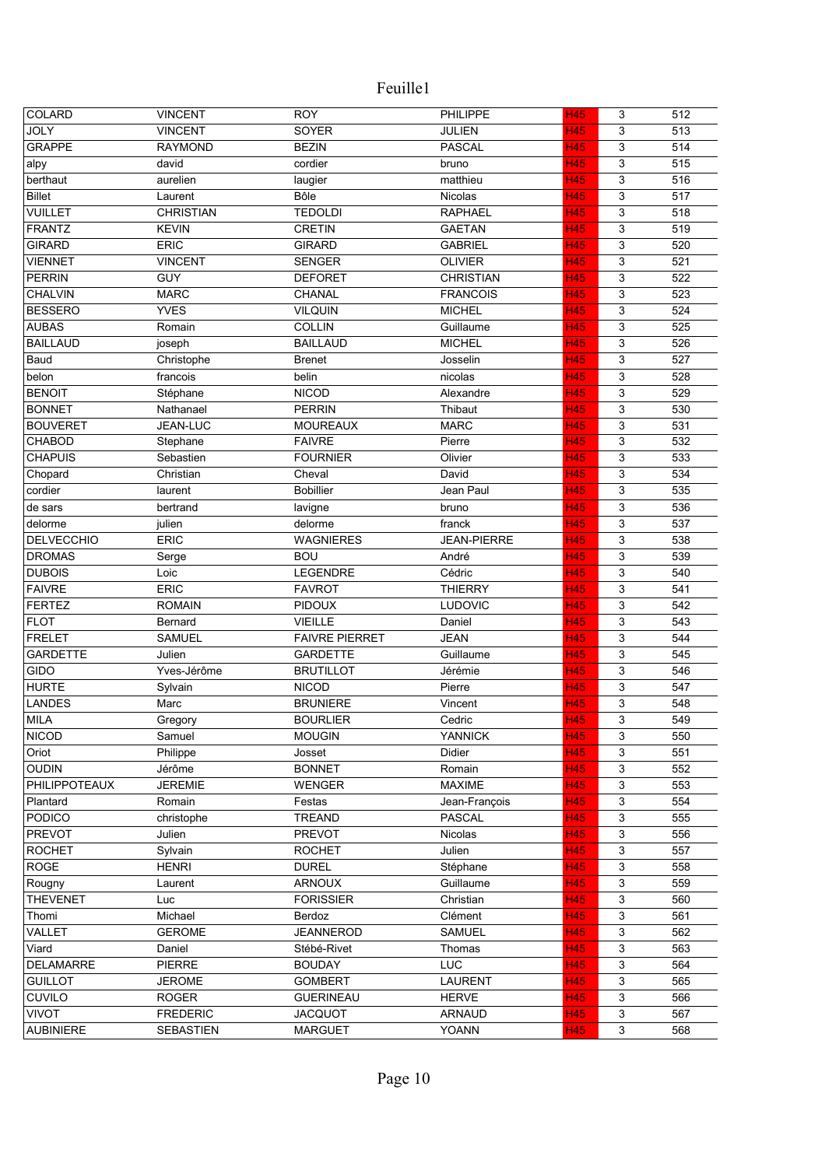| COLARD            | <b>VINCENT</b>   | <b>ROY</b>            | PHILIPPE           | <b>H45</b> | 3 | 512 |
|-------------------|------------------|-----------------------|--------------------|------------|---|-----|
| <b>JOLY</b>       | <b>VINCENT</b>   | SOYER                 | JULIEN             | <b>H45</b> | 3 | 513 |
| <b>GRAPPE</b>     | <b>RAYMOND</b>   | <b>BEZIN</b>          | <b>PASCAL</b>      | <b>H45</b> | 3 | 514 |
| alpy              | david            | cordier               | bruno              | H45        | 3 | 515 |
| berthaut          | aurelien         | laugier               | matthieu           | H45        | 3 | 516 |
| <b>Billet</b>     | Laurent          | Bôle                  | Nicolas            | <b>H45</b> | 3 | 517 |
| <b>VUILLET</b>    | <b>CHRISTIAN</b> | <b>TEDOLDI</b>        | <b>RAPHAEL</b>     | <b>H45</b> | 3 | 518 |
| <b>FRANTZ</b>     | <b>KEVIN</b>     | <b>CRETIN</b>         | <b>GAETAN</b>      | H45        | 3 | 519 |
| <b>GIRARD</b>     | <b>ERIC</b>      | <b>GIRARD</b>         | <b>GABRIEL</b>     | H45        | 3 | 520 |
| <b>VIENNET</b>    | <b>VINCENT</b>   | <b>SENGER</b>         | <b>OLIVIER</b>     | <b>H45</b> | 3 | 521 |
| <b>PERRIN</b>     | GUY              | <b>DEFORET</b>        | <b>CHRISTIAN</b>   | H45        | 3 | 522 |
| <b>CHALVIN</b>    | <b>MARC</b>      | CHANAL                | <b>FRANCOIS</b>    | H45        | 3 | 523 |
| <b>BESSERO</b>    | <b>YVES</b>      | <b>VILQUIN</b>        | <b>MICHEL</b>      | <b>H45</b> | 3 | 524 |
| <b>AUBAS</b>      | Romain           | <b>COLLIN</b>         | Guillaume          | H45        | 3 | 525 |
| <b>BAILLAUD</b>   | joseph           | <b>BAILLAUD</b>       | <b>MICHEL</b>      | <b>H45</b> | 3 | 526 |
| Baud              | Christophe       | <b>Brenet</b>         | Josselin           | H45        | 3 | 527 |
| belon             | francois         | belin                 | nicolas            | H45        | 3 | 528 |
| <b>BENOIT</b>     | Stéphane         | <b>NICOD</b>          | Alexandre          | H45        | 3 | 529 |
| <b>BONNET</b>     | Nathanael        | <b>PERRIN</b>         | Thibaut            | <b>H45</b> | 3 | 530 |
|                   | JEAN-LUC         | <b>MOUREAUX</b>       |                    |            |   |     |
| <b>BOUVERET</b>   |                  |                       | <b>MARC</b>        | <b>H45</b> | 3 | 531 |
| <b>CHABOD</b>     | Stephane         | <b>FAIVRE</b>         | Pierre             | <b>H45</b> | 3 | 532 |
| <b>CHAPUIS</b>    | Sebastien        | <b>FOURNIER</b>       | Olivier            | <b>H45</b> | 3 | 533 |
| Chopard           | Christian        | Cheval                | David              | <b>H45</b> | 3 | 534 |
| cordier           | laurent          | <b>Bobillier</b>      | Jean Paul          | <b>H45</b> | 3 | 535 |
| de sars           | bertrand         | lavigne               | bruno              | <b>H45</b> | 3 | 536 |
| delorme           | julien           | delorme               | franck             | H45        | 3 | 537 |
| <b>DELVECCHIO</b> | <b>ERIC</b>      | <b>WAGNIERES</b>      | <b>JEAN-PIERRE</b> | <b>H45</b> | 3 | 538 |
| <b>DROMAS</b>     | Serge            | <b>BOU</b>            | André              | <b>H45</b> | 3 | 539 |
| <b>DUBOIS</b>     | Loic             | LEGENDRE              | Cédric             | <b>H45</b> | 3 | 540 |
| <b>FAIVRE</b>     | ERIC             | <b>FAVROT</b>         | <b>THIERRY</b>     | <b>H45</b> | 3 | 541 |
| <b>FERTEZ</b>     | <b>ROMAIN</b>    | <b>PIDOUX</b>         | <b>LUDOVIC</b>     | <b>H45</b> | 3 | 542 |
| <b>FLOT</b>       | Bernard          | <b>VIEILLE</b>        | Daniel             | <b>H45</b> | 3 | 543 |
| <b>FRELET</b>     | <b>SAMUEL</b>    | <b>FAIVRE PIERRET</b> | <b>JEAN</b>        | <b>H45</b> | 3 | 544 |
| <b>GARDETTE</b>   | Julien           | <b>GARDETTE</b>       | Guillaume          | H45        | 3 | 545 |
| <b>GIDO</b>       | Yves-Jérôme      | <b>BRUTILLOT</b>      | Jérémie            | <b>H45</b> | 3 | 546 |
| <b>HURTE</b>      | Sylvain          | <b>NICOD</b>          | Pierre             | <b>H45</b> | 3 | 547 |
| <b>LANDES</b>     | Marc             | <b>BRUNIERE</b>       | Vincent            | H45        | 3 | 548 |
| MILA              | Gregory          | <b>BOURLIER</b>       | Cedric             | <b>H45</b> | 3 | 549 |
| <b>NICOD</b>      | Samuel           | <b>MOUGIN</b>         | <b>YANNICK</b>     | <b>H45</b> | 3 | 550 |
| Oriot             | Philippe         | Josset                | Didier             | <b>H45</b> | 3 | 551 |
| <b>OUDIN</b>      | Jérôme           | <b>BONNET</b>         | Romain             | H45        | 3 | 552 |
| PHILIPPOTEAUX     | <b>JEREMIE</b>   | <b>WENGER</b>         | <b>MAXIME</b>      | H45        | 3 | 553 |
| Plantard          | Romain           | Festas                | Jean-François      | <b>H45</b> | 3 | 554 |
| <b>PODICO</b>     | christophe       | TREAND                | <b>PASCAL</b>      | <b>H45</b> | 3 | 555 |
| <b>PREVOT</b>     | Julien           | <b>PREVOT</b>         | Nicolas            | <b>H45</b> | 3 | 556 |
| <b>ROCHET</b>     | Sylvain          | <b>ROCHET</b>         | Julien             | <b>H45</b> | 3 | 557 |
| <b>ROGE</b>       | <b>HENRI</b>     | <b>DUREL</b>          | Stéphane           | <b>H45</b> | 3 | 558 |
| Rougny            | Laurent          | <b>ARNOUX</b>         | Guillaume          | <b>H45</b> | 3 | 559 |
| <b>THEVENET</b>   | Luc              | <b>FORISSIER</b>      | Christian          | <b>H45</b> | 3 | 560 |
| Thomi             | Michael          | Berdoz                | Clément            | <b>H45</b> | 3 | 561 |
| VALLET            | <b>GEROME</b>    | JEANNEROD             | <b>SAMUEL</b>      | <b>H45</b> | 3 | 562 |
| Viard             | Daniel           | Stébé-Rivet           | Thomas             | H45        | 3 | 563 |
| <b>DELAMARRE</b>  | <b>PIERRE</b>    | <b>BOUDAY</b>         | <b>LUC</b>         | H45        | 3 | 564 |
| <b>GUILLOT</b>    | <b>JEROME</b>    | <b>GOMBERT</b>        | <b>LAURENT</b>     | H45        | 3 | 565 |
| CUVILO            | <b>ROGER</b>     | <b>GUERINEAU</b>      | <b>HERVE</b>       | H45        | 3 | 566 |
| <b>VIVOT</b>      | <b>FREDERIC</b>  | <b>JACQUOT</b>        | <b>ARNAUD</b>      | H45        | 3 | 567 |
| <b>AUBINIERE</b>  | <b>SEBASTIEN</b> | <b>MARGUET</b>        | YOANN              | <b>H45</b> | 3 | 568 |
|                   |                  |                       |                    |            |   |     |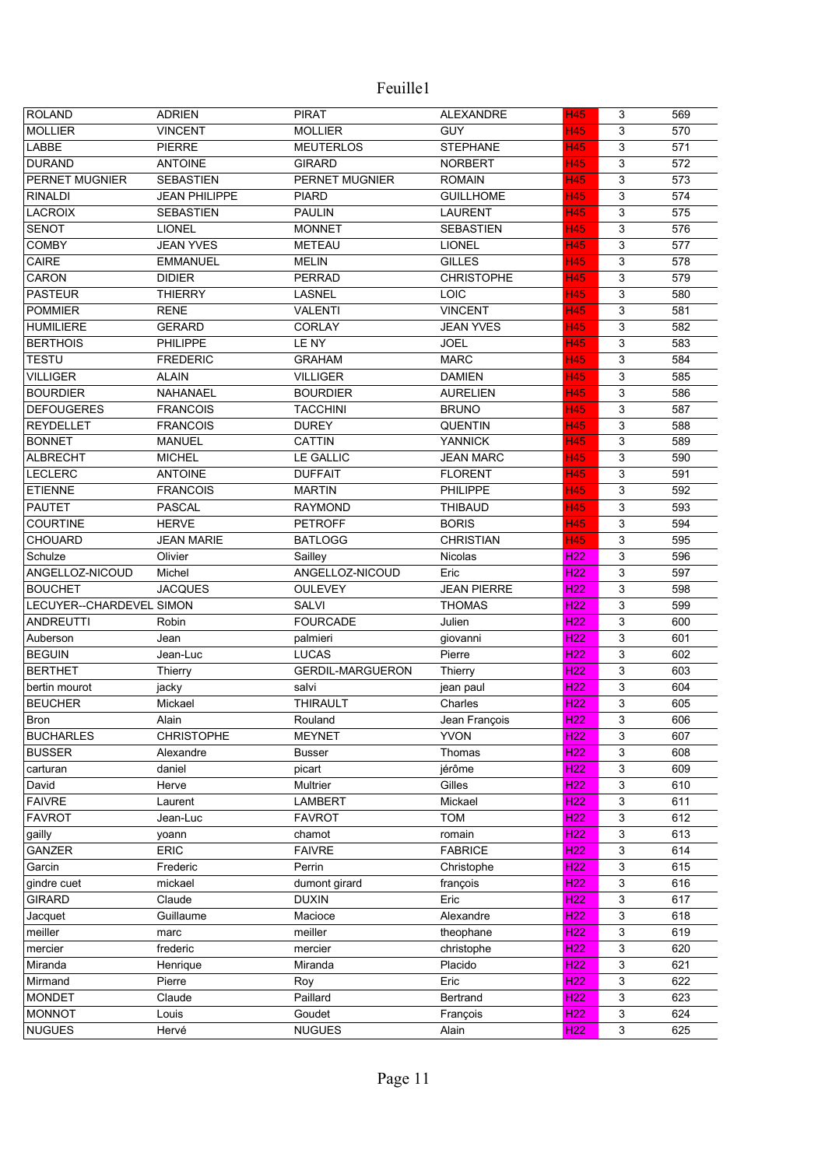| <b>ROLAND</b>            | <b>ADRIEN</b>        | <b>PIRAT</b>            | <b>ALEXANDRE</b>   | <b>H45</b>                         | 3                         | 569 |
|--------------------------|----------------------|-------------------------|--------------------|------------------------------------|---------------------------|-----|
| <b>MOLLIER</b>           | <b>VINCENT</b>       | <b>MOLLIER</b>          | <b>GUY</b>         | <b>H45</b>                         | 3                         | 570 |
| LABBE                    | <b>PIERRE</b>        | <b>MEUTERLOS</b>        | <b>STEPHANE</b>    | <b>H45</b>                         | 3                         | 571 |
| <b>DURAND</b>            | <b>ANTOINE</b>       | <b>GIRARD</b>           | <b>NORBERT</b>     | <b>H45</b>                         | 3                         | 572 |
| PERNET MUGNIER           | <b>SEBASTIEN</b>     | PERNET MUGNIER          | <b>ROMAIN</b>      | <b>H45</b>                         | 3                         | 573 |
| <b>RINALDI</b>           | <b>JEAN PHILIPPE</b> | <b>PIARD</b>            | <b>GUILLHOME</b>   | <b>H45</b>                         | 3                         | 574 |
| <b>LACROIX</b>           | <b>SEBASTIEN</b>     | <b>PAULIN</b>           | <b>LAURENT</b>     | <b>H45</b>                         | 3                         | 575 |
| <b>SENOT</b>             | <b>LIONEL</b>        | <b>MONNET</b>           | <b>SEBASTIEN</b>   | <b>H45</b>                         | 3                         | 576 |
| <b>COMBY</b>             | <b>JEAN YVES</b>     | <b>METEAU</b>           | <b>LIONEL</b>      | <b>H45</b>                         | 3                         | 577 |
| CAIRE                    | <b>EMMANUEL</b>      | <b>MELIN</b>            | <b>GILLES</b>      | <b>H45</b>                         | 3                         | 578 |
| CARON                    | <b>DIDIER</b>        | <b>PERRAD</b>           | <b>CHRISTOPHE</b>  | <b>H45</b>                         | 3                         | 579 |
| <b>PASTEUR</b>           | <b>THIERRY</b>       | <b>LASNEL</b>           | <b>LOIC</b>        | H45                                | 3                         | 580 |
| <b>POMMIER</b>           | <b>RENE</b>          | <b>VALENTI</b>          | <b>VINCENT</b>     | <b>H45</b>                         | 3                         | 581 |
| <b>HUMILIERE</b>         | <b>GERARD</b>        | <b>CORLAY</b>           | <b>JEAN YVES</b>   | <b>H45</b>                         | 3                         | 582 |
| <b>BERTHOIS</b>          | <b>PHILIPPE</b>      | LE NY                   | <b>JOEL</b>        | <b>H45</b>                         | 3                         | 583 |
| <b>TESTU</b>             | <b>FREDERIC</b>      | <b>GRAHAM</b>           | <b>MARC</b>        | <b>H45</b>                         | 3                         | 584 |
| <b>VILLIGER</b>          | <b>ALAIN</b>         | <b>VILLIGER</b>         | <b>DAMIEN</b>      | <b>H45</b>                         | 3                         | 585 |
| <b>BOURDIER</b>          | NAHANAEL             | <b>BOURDIER</b>         | <b>AURELIEN</b>    | <b>H45</b>                         | 3                         | 586 |
| <b>DEFOUGERES</b>        | <b>FRANCOIS</b>      | <b>TACCHINI</b>         | <b>BRUNO</b>       | <b>H45</b>                         | 3                         | 587 |
| <b>REYDELLET</b>         | <b>FRANCOIS</b>      | <b>DUREY</b>            | <b>QUENTIN</b>     | H45                                | 3                         | 588 |
| <b>BONNET</b>            | <b>MANUEL</b>        | <b>CATTIN</b>           | <b>YANNICK</b>     | <b>H45</b>                         | 3                         | 589 |
| <b>ALBRECHT</b>          | <b>MICHEL</b>        | <b>LE GALLIC</b>        | <b>JEAN MARC</b>   | H45                                | 3                         | 590 |
| <b>LECLERC</b>           | <b>ANTOINE</b>       | <b>DUFFAIT</b>          | <b>FLORENT</b>     | H45                                | 3                         | 591 |
| <b>ETIENNE</b>           | <b>FRANCOIS</b>      | <b>MARTIN</b>           | PHILIPPE           | <b>H45</b>                         | 3                         | 592 |
| <b>PAUTET</b>            | <b>PASCAL</b>        | <b>RAYMOND</b>          | <b>THIBAUD</b>     | H45                                | 3                         | 593 |
| <b>COURTINE</b>          | <b>HERVE</b>         | <b>PETROFF</b>          | <b>BORIS</b>       | H45                                | 3                         | 594 |
| <b>CHOUARD</b>           | <b>JEAN MARIE</b>    | <b>BATLOGG</b>          | <b>CHRISTIAN</b>   | H45                                | 3                         | 595 |
| Schulze                  | Olivier              |                         |                    | H <sub>22</sub>                    | 3                         | 596 |
|                          |                      | Sailley                 | Nicolas            |                                    |                           |     |
| ANGELLOZ-NICOUD          | Michel               | ANGELLOZ-NICOUD         | Eric               | H <sub>22</sub><br>H <sub>22</sub> | 3                         | 597 |
| <b>BOUCHET</b>           | <b>JACQUES</b>       | <b>OULEVEY</b>          | <b>JEAN PIERRE</b> |                                    | 3                         | 598 |
| LECUYER--CHARDEVEL SIMON |                      | <b>SALVI</b>            | <b>THOMAS</b>      | H <sub>22</sub>                    | 3                         | 599 |
| <b>ANDREUTTI</b>         | Robin                | <b>FOURCADE</b>         | Julien             | H <sub>22</sub>                    | 3                         | 600 |
| Auberson                 | Jean                 | palmieri                | giovanni           | H <sub>22</sub>                    | 3                         | 601 |
| <b>BEGUIN</b>            | Jean-Luc             | <b>LUCAS</b>            | Pierre             | H <sub>22</sub>                    | 3                         | 602 |
| <b>BERTHET</b>           | Thierry              | <b>GERDIL-MARGUERON</b> | Thierry            | H <sub>22</sub>                    | 3                         | 603 |
| bertin mourot            | jacky                | salvi                   | jean paul          | H <sub>22</sub>                    | 3                         | 604 |
| <b>BEUCHER</b>           | Mickael              | <b>THIRAULT</b>         | Charles            | H <sub>22</sub>                    | 3                         | 605 |
| Bron                     | Alain                | Rouland                 | Jean François      | H <sub>22</sub>                    | 3                         | 606 |
| <b>BUCHARLES</b>         | <b>CHRISTOPHE</b>    | <b>MEYNET</b>           | <b>YVON</b>        | H <sub>22</sub>                    | 3                         | 607 |
| <b>BUSSER</b>            | Alexandre            | <b>Busser</b>           | Thomas             | H <sub>22</sub>                    | 3                         | 608 |
| carturan                 | daniel               | picart                  | jérôme             | H <sub>22</sub>                    | 3                         | 609 |
| David                    | Herve                | Multrier                | Gilles             | H <sub>22</sub>                    | 3                         | 610 |
| <b>FAIVRE</b>            | Laurent              | <b>LAMBERT</b>          | Mickael            | H <sub>22</sub>                    | 3                         | 611 |
| <b>FAVROT</b>            | Jean-Luc             | <b>FAVROT</b>           | <b>TOM</b>         | H <sub>22</sub>                    | 3                         | 612 |
| gailly                   | yoann                | chamot                  | romain             | H <sub>22</sub>                    | $\mathfrak{S}$            | 613 |
| GANZER                   | <b>ERIC</b>          | <b>FAIVRE</b>           | <b>FABRICE</b>     | H <sub>22</sub>                    | $\mathfrak{S}$            | 614 |
| Garcin                   | Frederic             | Perrin                  | Christophe         | H <sub>22</sub>                    | $\ensuremath{\mathsf{3}}$ | 615 |
| gindre cuet              | mickael              | dumont girard           | françois           | H <sub>22</sub>                    | 3                         | 616 |
| <b>GIRARD</b>            | Claude               | <b>DUXIN</b>            | Eric               | H <sub>22</sub>                    | 3                         | 617 |
| Jacquet                  | Guillaume            | Macioce                 | Alexandre          | H <sub>22</sub>                    | 3                         | 618 |
| meiller                  | marc                 | meiller                 | theophane          | <b>H22</b>                         | 3                         | 619 |
| mercier                  | frederic             | mercier                 | christophe         | H <sub>22</sub>                    | 3                         | 620 |
| Miranda                  | Henrique             | Miranda                 | Placido            | H <sub>22</sub>                    | 3                         | 621 |
| Mirmand                  | Pierre               | Roy                     | Eric               | H <sub>22</sub>                    | 3                         | 622 |
| <b>MONDET</b>            | Claude               | Paillard                | Bertrand           | H <sub>22</sub>                    | 3                         | 623 |
| <b>MONNOT</b>            | Louis                | Goudet                  | François           | H <sub>22</sub>                    | 3                         | 624 |
| <b>NUGUES</b>            | Hervé                | <b>NUGUES</b>           | Alain              | H <sub>22</sub>                    | 3                         | 625 |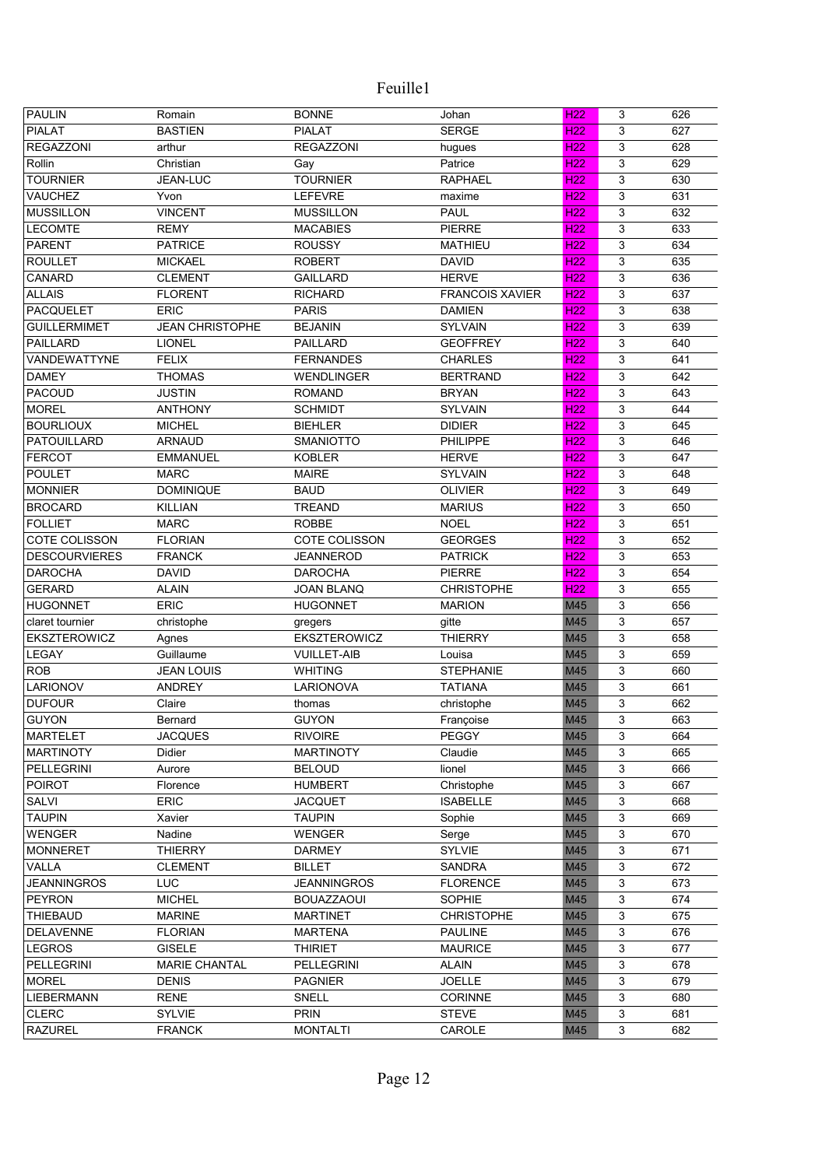| <b>PAULIN</b>                    | Romain                          | <b>BONNE</b>                         | Johan                       | H <sub>22</sub> | 3      | 626 |
|----------------------------------|---------------------------------|--------------------------------------|-----------------------------|-----------------|--------|-----|
| <b>PIALAT</b>                    | <b>BASTIEN</b>                  | <b>PIALAT</b>                        | <b>SERGE</b>                | H <sub>22</sub> | 3      | 627 |
| <b>REGAZZONI</b>                 | arthur                          | <b>REGAZZONI</b>                     | hugues                      | H <sub>22</sub> | 3      | 628 |
| Rollin                           | Christian                       | Gay                                  | Patrice                     | H <sub>22</sub> | 3      | 629 |
| <b>TOURNIER</b>                  | <b>JEAN-LUC</b>                 | <b>TOURNIER</b>                      | <b>RAPHAEL</b>              | H <sub>22</sub> | 3      | 630 |
| <b>VAUCHEZ</b>                   | Yvon                            | <b>LEFEVRE</b>                       | maxime                      | H <sub>22</sub> | 3      | 631 |
| <b>MUSSILLON</b>                 | <b>VINCENT</b>                  | <b>MUSSILLON</b>                     | <b>PAUL</b>                 | H <sub>22</sub> | 3      | 632 |
| <b>LECOMTE</b>                   | <b>REMY</b>                     | <b>MACABIES</b>                      | <b>PIERRE</b>               | H <sub>22</sub> | 3      | 633 |
| <b>PARENT</b>                    | <b>PATRICE</b>                  | <b>ROUSSY</b>                        | <b>MATHIEU</b>              | <b>H22</b>      | 3      | 634 |
| <b>ROULLET</b>                   | <b>MICKAEL</b>                  | <b>ROBERT</b>                        | <b>DAVID</b>                | <b>H22</b>      | 3      | 635 |
| CANARD                           | <b>CLEMENT</b>                  | <b>GAILLARD</b>                      | <b>HERVE</b>                | H <sub>22</sub> | 3      | 636 |
| <b>ALLAIS</b>                    | <b>FLORENT</b>                  | <b>RICHARD</b>                       | <b>FRANCOIS XAVIER</b>      | H <sub>22</sub> | 3      | 637 |
| PACQUELET                        | <b>ERIC</b>                     | <b>PARIS</b>                         | <b>DAMIEN</b>               | H <sub>22</sub> | 3      | 638 |
| <b>GUILLERMIMET</b>              | <b>JEAN CHRISTOPHE</b>          | <b>BEJANIN</b>                       | <b>SYLVAIN</b>              | H <sub>22</sub> | 3      | 639 |
| <b>PAILLARD</b>                  | <b>LIONEL</b>                   | <b>PAILLARD</b>                      | <b>GEOFFREY</b>             | H <sub>22</sub> | 3      | 640 |
| VANDEWATTYNE                     | <b>FELIX</b>                    | <b>FERNANDES</b>                     | <b>CHARLES</b>              | H <sub>22</sub> | 3      | 641 |
| <b>DAMEY</b>                     | <b>THOMAS</b>                   | <b>WENDLINGER</b>                    | <b>BERTRAND</b>             | H <sub>22</sub> | 3      | 642 |
| PACOUD                           | <b>JUSTIN</b>                   | <b>ROMAND</b>                        | <b>BRYAN</b>                | H <sub>22</sub> | 3      | 643 |
| <b>MOREL</b>                     | <b>ANTHONY</b>                  | <b>SCHMIDT</b>                       | <b>SYLVAIN</b>              | H <sub>22</sub> | 3      | 644 |
| <b>BOURLIOUX</b>                 | <b>MICHEL</b>                   | <b>BIEHLER</b>                       | <b>DIDIER</b>               | H <sub>22</sub> | 3      | 645 |
| PATOUILLARD                      | <b>ARNAUD</b>                   | <b>SMANIOTTO</b>                     | <b>PHILIPPE</b>             | H <sub>22</sub> | 3      | 646 |
| <b>FERCOT</b>                    | <b>EMMANUEL</b>                 | <b>KOBLER</b>                        | <b>HERVE</b>                | H <sub>22</sub> | 3      | 647 |
| <b>POULET</b>                    | <b>MARC</b>                     | <b>MAIRE</b>                         | <b>SYLVAIN</b>              | H <sub>22</sub> | 3      | 648 |
| <b>MONNIER</b>                   | <b>DOMINIQUE</b>                | <b>BAUD</b>                          | <b>OLIVIER</b>              | H <sub>22</sub> | 3      | 649 |
| <b>BROCARD</b>                   | <b>KILLIAN</b>                  | <b>TREAND</b>                        | <b>MARIUS</b>               | H <sub>22</sub> | 3      | 650 |
| <b>FOLLIET</b>                   | <b>MARC</b>                     | <b>ROBBE</b>                         | <b>NOEL</b>                 | H <sub>22</sub> | 3      | 651 |
| COTE COLISSON                    | <b>FLORIAN</b>                  | COTE COLISSON                        | <b>GEORGES</b>              | H <sub>22</sub> | 3      | 652 |
| <b>DESCOURVIERES</b>             | <b>FRANCK</b>                   | <b>JEANNEROD</b>                     | <b>PATRICK</b>              | H <sub>22</sub> | 3      | 653 |
| <b>DAROCHA</b>                   | <b>DAVID</b>                    | <b>DAROCHA</b>                       | <b>PIERRE</b>               | H <sub>22</sub> | 3      | 654 |
| <b>GERARD</b>                    | <b>ALAIN</b>                    | <b>JOAN BLANQ</b>                    | <b>CHRISTOPHE</b>           | H <sub>22</sub> | 3      | 655 |
| <b>HUGONNET</b>                  | <b>ERIC</b>                     | <b>HUGONNET</b>                      | <b>MARION</b>               | M45             | 3      | 656 |
| claret tournier                  | christophe                      | gregers                              | gitte                       | M45             | 3      | 657 |
| EKSZTEROWICZ                     | Agnes                           | EKSZTEROWICZ                         | <b>THIERRY</b>              | M45             | 3      | 658 |
| LEGAY                            | Guillaume                       | <b>VUILLET-AIB</b>                   | Louisa                      | M45             | 3      | 659 |
| <b>ROB</b>                       | <b>JEAN LOUIS</b>               | <b>WHITING</b>                       | <b>STEPHANIE</b>            | M45             | 3      | 660 |
| LARIONOV                         | <b>ANDREY</b>                   | <b>LARIONOVA</b>                     | <b>TATIANA</b>              | M45             | 3      | 661 |
| <b>DUFOUR</b>                    | Claire                          | thomas                               | christophe                  | M45             | 3      | 662 |
| <b>GUYON</b>                     | Bernard                         | <b>GUYON</b>                         | Françoise                   | M45             | 3      | 663 |
| <b>MARTELET</b>                  | <b>JACQUES</b>                  | <b>RIVOIRE</b>                       | <b>PEGGY</b>                | M45             | 3      | 664 |
| <b>MARTINOTY</b>                 | Didier                          | <b>MARTINOTY</b>                     | Claudie                     | M45             | 3      | 665 |
| <b>PELLEGRINI</b>                | Aurore                          | <b>BELOUD</b>                        | lionel                      | M45             | 3      | 666 |
| <b>POIROT</b>                    | Florence                        | <b>HUMBERT</b>                       | Christophe                  | M45             | 3      | 667 |
| SALVI                            | ERIC                            | <b>JACQUET</b>                       | <b>ISABELLE</b>             | M45             | 3      | 668 |
| <b>TAUPIN</b>                    | Xavier                          | <b>TAUPIN</b>                        | Sophie                      | M45             | 3      | 669 |
| <b>WENGER</b>                    | Nadine                          | WENGER                               |                             | M45             | 3      | 670 |
| <b>MONNERET</b>                  | <b>THIERRY</b>                  | <b>DARMEY</b>                        | Serge<br>SYLVIE             | M45             | 3      | 671 |
| VALLA                            | <b>CLEMENT</b>                  | <b>BILLET</b>                        | <b>SANDRA</b>               | M45             | 3      | 672 |
| <b>JEANNINGROS</b>               | <b>LUC</b>                      | <b>JEANNINGROS</b>                   | <b>FLORENCE</b>             | M45             | 3      | 673 |
|                                  |                                 |                                      |                             | M45             |        | 674 |
| <b>PEYRON</b><br><b>THIEBAUD</b> | <b>MICHEL</b><br><b>MARINE</b>  | <b>BOUAZZAOUI</b><br><b>MARTINET</b> | SOPHIE<br><b>CHRISTOPHE</b> | M45             | 3<br>3 | 675 |
| <b>DELAVENNE</b>                 |                                 |                                      | <b>PAULINE</b>              | M45             | 3      |     |
|                                  | <b>FLORIAN</b><br><b>GISELE</b> | <b>MARTENA</b>                       | <b>MAURICE</b>              |                 | 3      | 676 |
| <b>LEGROS</b>                    |                                 | <b>THIRIET</b>                       |                             | M45             |        | 677 |
| PELLEGRINI                       | <b>MARIE CHANTAL</b>            | <b>PELLEGRINI</b>                    | <b>ALAIN</b>                | M45             | 3      | 678 |
| <b>MOREL</b>                     | <b>DENIS</b>                    | <b>PAGNIER</b>                       | <b>JOELLE</b>               | M45             | 3      | 679 |
| <b>LIEBERMANN</b>                | <b>RENE</b>                     | SNELL                                | <b>CORINNE</b>              | M45             | 3      | 680 |
| <b>CLERC</b>                     | SYLVIE                          | <b>PRIN</b>                          | <b>STEVE</b>                | M45             | 3      | 681 |
| <b>RAZUREL</b>                   | <b>FRANCK</b>                   | <b>MONTALTI</b>                      | CAROLE                      | M45             | 3      | 682 |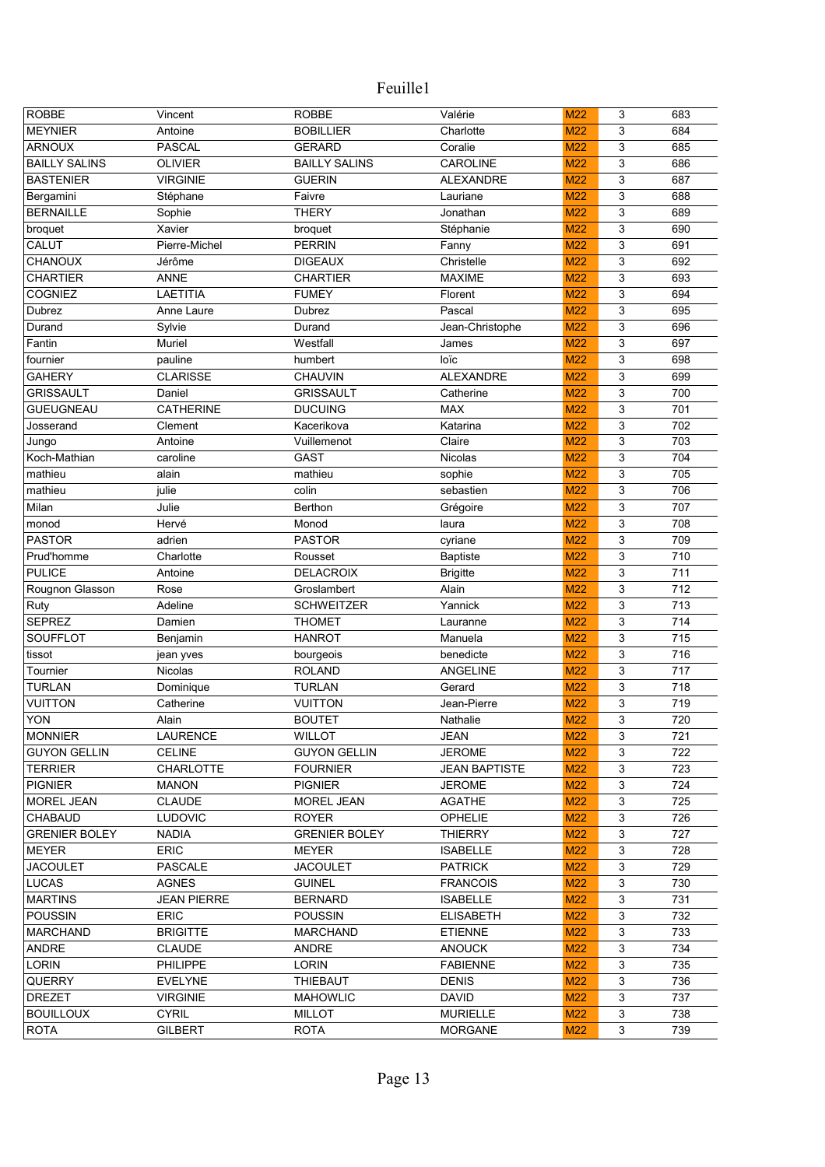| <b>ROBBE</b>         | Vincent            | <b>ROBBE</b>         | Valérie              | M22             | 3 | 683 |
|----------------------|--------------------|----------------------|----------------------|-----------------|---|-----|
| <b>MEYNIER</b>       | Antoine            | <b>BOBILLIER</b>     | Charlotte            | M22             | 3 | 684 |
| <b>ARNOUX</b>        | <b>PASCAL</b>      | <b>GERARD</b>        | Coralie              | M22             | 3 | 685 |
| <b>BAILLY SALINS</b> | <b>OLIVIER</b>     | <b>BAILLY SALINS</b> | CAROLINE             | <b>M22</b>      | 3 | 686 |
| <b>BASTENIER</b>     | <b>VIRGINIE</b>    | <b>GUERIN</b>        | <b>ALEXANDRE</b>     | M22             | 3 | 687 |
| Bergamini            | Stéphane           | Faivre               | Lauriane             | M22             | 3 | 688 |
| <b>BERNAILLE</b>     | Sophie             | <b>THERY</b>         | Jonathan             | <b>M22</b>      | 3 | 689 |
| broquet              | Xavier             | broquet              | Stéphanie            | M22             | 3 | 690 |
| <b>CALUT</b>         | Pierre-Michel      | <b>PERRIN</b>        | Fanny                | M22             | 3 | 691 |
| CHANOUX              | Jérôme             | <b>DIGEAUX</b>       | Christelle           | M22             | 3 | 692 |
| <b>CHARTIER</b>      | <b>ANNE</b>        | <b>CHARTIER</b>      | <b>MAXIME</b>        | M22             | 3 | 693 |
| <b>COGNIEZ</b>       | <b>LAETITIA</b>    | <b>FUMEY</b>         | Florent              | <b>M22</b>      | 3 | 694 |
| Dubrez               | Anne Laure         | Dubrez               | Pascal               | M22             | 3 | 695 |
| Durand               | Sylvie             | Durand               | Jean-Christophe      | M22             | 3 | 696 |
| Fantin               | Muriel             | Westfall             | James                | M22             | 3 | 697 |
| fournier             | pauline            | humbert              | loïc                 | M22             | 3 | 698 |
| <b>GAHERY</b>        | <b>CLARISSE</b>    | CHAUVIN              | <b>ALEXANDRE</b>     | M22             | 3 | 699 |
| <b>GRISSAULT</b>     | Daniel             | <b>GRISSAULT</b>     | Catherine            | M22             | 3 | 700 |
| <b>GUEUGNEAU</b>     | <b>CATHERINE</b>   | <b>DUCUING</b>       | <b>MAX</b>           | M22             | 3 | 701 |
| Josserand            | Clement            | Kacerikova           | Katarina             | M22             | 3 | 702 |
| Jungo                | Antoine            | Vuillemenot          | Claire               | M22             | 3 | 703 |
| Koch-Mathian         | caroline           | <b>GAST</b>          | Nicolas              | M22             | 3 | 704 |
| mathieu              | alain              | mathieu              | sophie               | M22             | 3 | 705 |
| mathieu              | julie              | colin                | sebastien            | M22             | 3 | 706 |
| Milan                | Julie              | Berthon              | Grégoire             | M22             | 3 | 707 |
| monod                | Hervé              | Monod                | laura                | M22             | 3 | 708 |
| <b>PASTOR</b>        | adrien             | <b>PASTOR</b>        | cyriane              | M22             | 3 | 709 |
| Prud'homme           | Charlotte          | Rousset              | <b>Baptiste</b>      | M22             | 3 | 710 |
| <b>PULICE</b>        | Antoine            | <b>DELACROIX</b>     | <b>Brigitte</b>      | M22             | 3 | 711 |
| Rougnon Glasson      | Rose               | Groslambert          | Alain                | M22             | 3 | 712 |
| Ruty                 | Adeline            | <b>SCHWEITZER</b>    | Yannick              | M22             | 3 | 713 |
| <b>SEPREZ</b>        | Damien             | <b>THOMET</b>        | Lauranne             | M22             | 3 | 714 |
| <b>SOUFFLOT</b>      | Benjamin           | <b>HANROT</b>        | Manuela              | M22             | 3 | 715 |
| tissot               | jean yves          | bourgeois            | benedicte            | M22             | 3 | 716 |
| Tournier             | Nicolas            | <b>ROLAND</b>        | <b>ANGELINE</b>      | M22             | 3 | 717 |
| <b>TURLAN</b>        | Dominique          | <b>TURLAN</b>        | Gerard               | M22             | 3 | 718 |
| <b>VUITTON</b>       | Catherine          | <b>VUITTON</b>       | Jean-Pierre          | M22             | 3 | 719 |
| <b>YON</b>           | Alain              | <b>BOUTET</b>        | Nathalie             | M22             | 3 | 720 |
| <b>MONNIER</b>       | LAURENCE           | <b>WILLOT</b>        | JEAN                 | M <sub>22</sub> | 3 | 721 |
| <b>GUYON GELLIN</b>  | <b>CELINE</b>      | <b>GUYON GELLIN</b>  | <b>JEROME</b>        | M22             | 3 | 722 |
| <b>TERRIER</b>       | <b>CHARLOTTE</b>   | <b>FOURNIER</b>      | <b>JEAN BAPTISTE</b> | M22             | 3 | 723 |
| <b>PIGNIER</b>       | <b>MANON</b>       | <b>PIGNIER</b>       | <b>JEROME</b>        | M22             | 3 | 724 |
| MOREL JEAN           | <b>CLAUDE</b>      | MOREL JEAN           | <b>AGATHE</b>        | M22             | 3 | 725 |
| <b>CHABAUD</b>       | <b>LUDOVIC</b>     | <b>ROYER</b>         | <b>OPHELIE</b>       | M22             | 3 | 726 |
| <b>GRENIER BOLEY</b> | <b>NADIA</b>       | <b>GRENIER BOLEY</b> | <b>THIERRY</b>       | M22             | 3 | 727 |
| <b>MEYER</b>         | <b>ERIC</b>        | MEYER                | <b>ISABELLE</b>      | M22             | 3 | 728 |
| <b>JACOULET</b>      | PASCALE            | <b>JACOULET</b>      | <b>PATRICK</b>       | M22             | 3 | 729 |
| LUCAS                | <b>AGNES</b>       | <b>GUINEL</b>        | <b>FRANCOIS</b>      | M22             | 3 | 730 |
| <b>MARTINS</b>       | <b>JEAN PIERRE</b> | <b>BERNARD</b>       | <b>ISABELLE</b>      | M22             | 3 | 731 |
| <b>POUSSIN</b>       | <b>ERIC</b>        | <b>POUSSIN</b>       | <b>ELISABETH</b>     | M22             | 3 | 732 |
| <b>MARCHAND</b>      | <b>BRIGITTE</b>    | <b>MARCHAND</b>      | <b>ETIENNE</b>       | M22             | 3 | 733 |
| ANDRE                | <b>CLAUDE</b>      | ANDRE                | <b>ANOUCK</b>        | M22             | 3 | 734 |
| LORIN                | <b>PHILIPPE</b>    | <b>LORIN</b>         | <b>FABIENNE</b>      | M <sub>22</sub> | 3 | 735 |
| QUERRY               | <b>EVELYNE</b>     | <b>THIEBAUT</b>      | <b>DENIS</b>         | M <sub>22</sub> | 3 | 736 |
| <b>DREZET</b>        | <b>VIRGINIE</b>    | <b>MAHOWLIC</b>      | <b>DAVID</b>         | M <sub>22</sub> | 3 | 737 |
| <b>BOUILLOUX</b>     | <b>CYRIL</b>       | <b>MILLOT</b>        | <b>MURIELLE</b>      | M22             | 3 | 738 |
| <b>ROTA</b>          | <b>GILBERT</b>     | <b>ROTA</b>          | <b>MORGANE</b>       | M22             | 3 | 739 |
|                      |                    |                      |                      |                 |   |     |